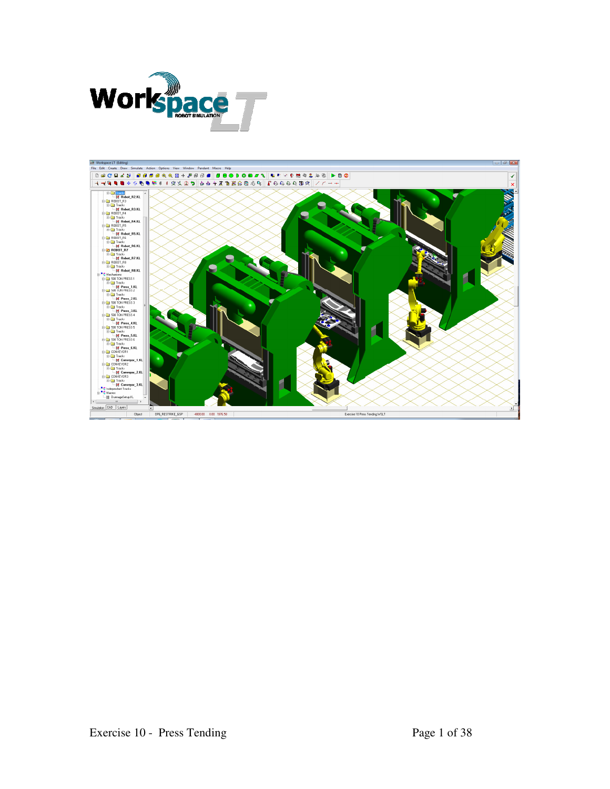

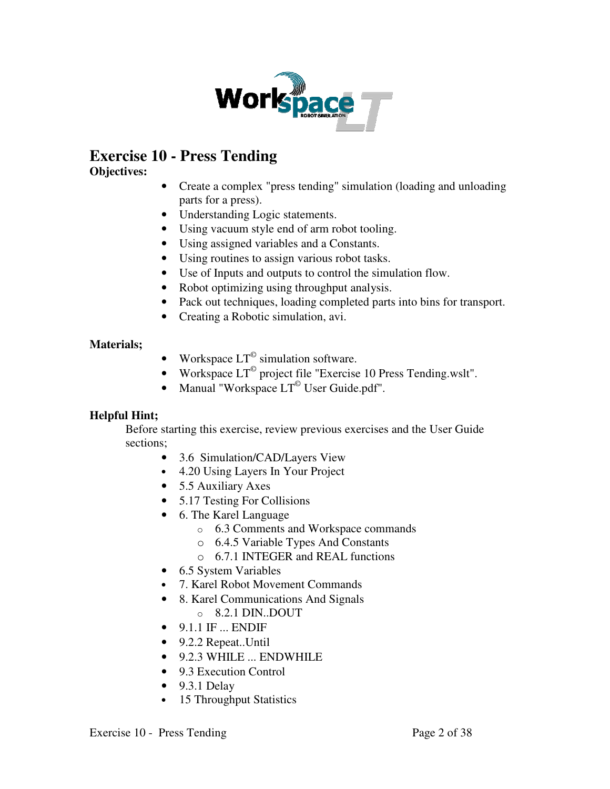

# **Exercise 10 - Press Tending**

# **Objectives:**

- Create a complex "press tending" simulation (loading and unloading parts for a press).
- Understanding Logic statements.
- Using vacuum style end of arm robot tooling.
- Using assigned variables and a Constants.
- Using routines to assign various robot tasks.
- Use of Inputs and outputs to control the simulation flow.
- Robot optimizing using throughput analysis.
- Pack out techniques, loading completed parts into bins for transport.
- Creating a Robotic simulation, avi.

# **Materials;**

- Workspace  $LT^{\circ}$  simulation software.
- Workspace  $LT^{\degree}$  project file "Exercise 10 Press Tending.wslt".
- Manual "Workspace  $LT^{\circ}$  User Guide.pdf".

# **Helpful Hint;**

Before starting this exercise, review previous exercises and the User Guide sections;

- 3.6 Simulation/CAD/Layers View
- 4.20 Using Layers In Your Project
- 5.5 Auxiliary Axes
- 5.17 Testing For Collisions
- 6. The Karel Language
	- o 6.3 Comments and Workspace commands
	- o 6.4.5 Variable Types And Constants
	- o 6.7.1 INTEGER and REAL functions
- 6.5 System Variables
- 7. Karel Robot Movement Commands
- 8. Karel Communications And Signals
	- o 8.2.1 DIN..DOUT
- $\bullet$  9.1.1 IF ... ENDIF
- 9.2.2 Repeat..Until
- 9.2.3 WHILE ... ENDWHILE
- 9.3 Execution Control
- $\bullet$  9.3.1 Delay
- 15 Throughput Statistics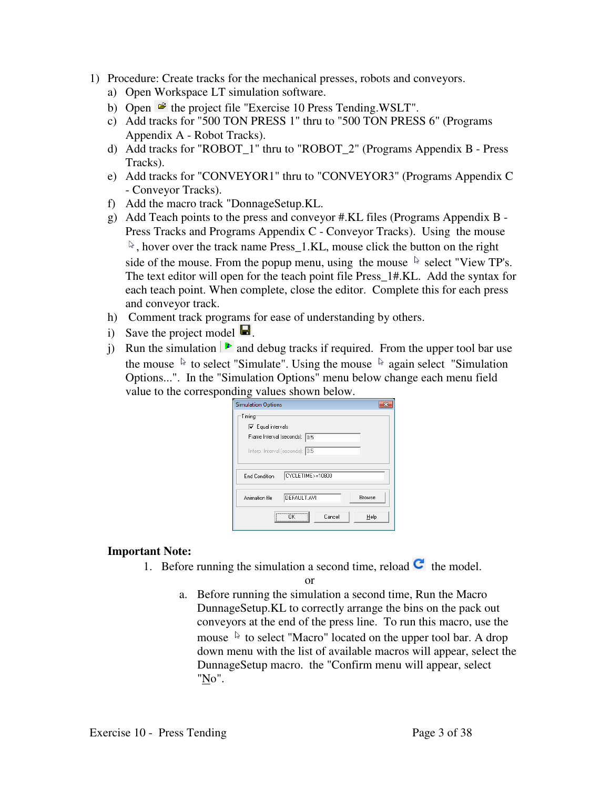- 1) Procedure: Create tracks for the mechanical presses, robots and conveyors.
	- a) Open Workspace LT simulation software.
	- b) Open  $\mathbf{\hat{z}}$  the project file "Exercise 10 Press Tending.WSLT".
	- c) Add tracks for "500 TON PRESS 1" thru to "500 TON PRESS 6" (Programs Appendix A - Robot Tracks).
	- d) Add tracks for "ROBOT\_1" thru to "ROBOT\_2" (Programs Appendix B Press Tracks).
	- e) Add tracks for "CONVEYOR1" thru to "CONVEYOR3" (Programs Appendix C - Conveyor Tracks).
	- f) Add the macro track "DonnageSetup.KL.
	- g) Add Teach points to the press and conveyor #.KL files (Programs Appendix B Press Tracks and Programs Appendix C - Conveyor Tracks). Using the mouse  $\mathbb{R}$ , hover over the track name Press\_1.KL, mouse click the button on the right side of the mouse. From the popup menu, using the mouse  $\&$  select "View TP's. The text editor will open for the teach point file Press\_1#.KL. Add the syntax for each teach point. When complete, close the editor. Complete this for each press and conveyor track.
	- h) Comment track programs for ease of understanding by others.
	- i) Save the project model  $\blacksquare$ .
	- j) Run the simulation  $\triangleright$  and debug tracks if required. From the upper tool bar use the mouse  $\&$  to select "Simulate". Using the mouse  $\&$  again select "Simulation" Options...". In the "Simulation Options" menu below change each menu field value to the corresponding values shown below.

| <b>Simulation Options</b>                                                                                                 |
|---------------------------------------------------------------------------------------------------------------------------|
| Timing<br>$\overline{\mathbf{v}}$ Equal intervals<br>Frame Interval (seconds):<br>10.5<br>Interp. Interval (seconds): 0.5 |
| CYCLETIME>=10800<br><b>End Condition</b>                                                                                  |
| DEFAULT.AVI<br>Browse<br>Animation file                                                                                   |
| Cancel<br>Help<br>                                                                                                        |

# **Important Note:**

1. Before running the simulation a second time, reload  $\mathbf C$  the model.

or

a. Before running the simulation a second time, Run the Macro DunnageSetup.KL to correctly arrange the bins on the pack out conveyors at the end of the press line. To run this macro, use the mouse  $\lambda$  to select "Macro" located on the upper tool bar. A drop down menu with the list of available macros will appear, select the DunnageSetup macro. the "Confirm menu will appear, select "No".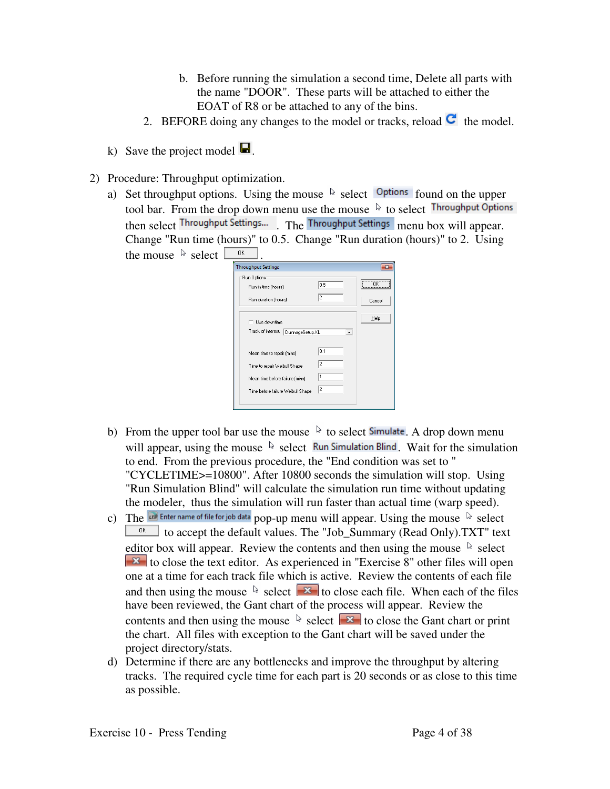- b. Before running the simulation a second time, Delete all parts with the name "DOOR". These parts will be attached to either the EOAT of R8 or be attached to any of the bins.
- 2. BEFORE doing any changes to the model or tracks, reload  $\blacksquare$  the model.
- k) Save the project model  $\blacksquare$ .
- 2) Procedure: Throughput optimization.
	- a) Set throughput options. Using the mouse  $\&$  select  $\circ$  options found on the upper tool bar. From the drop down menu use the mouse  $\sqrt[k]{\ }$  to select Throughput Options then select Throughput Settings... The Throughput Settings menu box will appear. Change "Run time (hours)" to 0.5. Change "Run duration (hours)" to 2. Using the mouse  $\frac{1}{2}$  select  $\frac{1}{2}$

| <b>Throughput Settings</b>                                                                                                         |                    |                                             |
|------------------------------------------------------------------------------------------------------------------------------------|--------------------|---------------------------------------------|
| Run Options <sup>.</sup><br>Run-in time (hours)                                                                                    | 0.5                | ---------------------------------<br>ΠK<br> |
| Run duration [hours]                                                                                                               | 2                  | Cancel                                      |
| Use downtime<br>Track of interest.<br>DunnageSetup.KL                                                                              | ۰                  | Help                                        |
| Mean time to repair (mins)<br>Time to repair Weibull Shape<br>Mean time before failure [mins]<br>Time before failure Weibull Shape | 0.1<br>2<br>1<br>2 |                                             |

- b) From the upper tool bar use the mouse  $\&$  to select **Simulate**. A drop down menu will appear, using the mouse  $\&$  select Run Simulation Blind Wait for the simulation to end. From the previous procedure, the "End condition was set to " "CYCLETIME>=10800". After 10800 seconds the simulation will stop. Using "Run Simulation Blind" will calculate the simulation run time without updating the modeler, thus the simulation will run faster than actual time (warp speed).
- c) The  $\overline{u}$  Enter name of file for job data pop-up menu will appear. Using the mouse  $\overline{v}$  select  $\frac{\alpha}{\alpha}$  to accept the default values. The "Job\_Summary (Read Only).TXT" text editor box will appear. Review the contents and then using the mouse  $\sqrt[k]{ }$  select  $\mathbf{X}$  to close the text editor. As experienced in "Exercise 8" other files will open one at a time for each track file which is active. Review the contents of each file and then using the mouse  $\sqrt[k]{\phantom{a}}$  select  $\sqrt[k]{\phantom{a}}$  to close each file. When each of the files have been reviewed, the Gant chart of the process will appear. Review the contents and then using the mouse  $\sqrt[3]{\cdot}$  select  $\sqrt[3]{\cdot}$  to close the Gant chart or print the chart. All files with exception to the Gant chart will be saved under the project directory/stats.
- d) Determine if there are any bottlenecks and improve the throughput by altering tracks. The required cycle time for each part is 20 seconds or as close to this time as possible.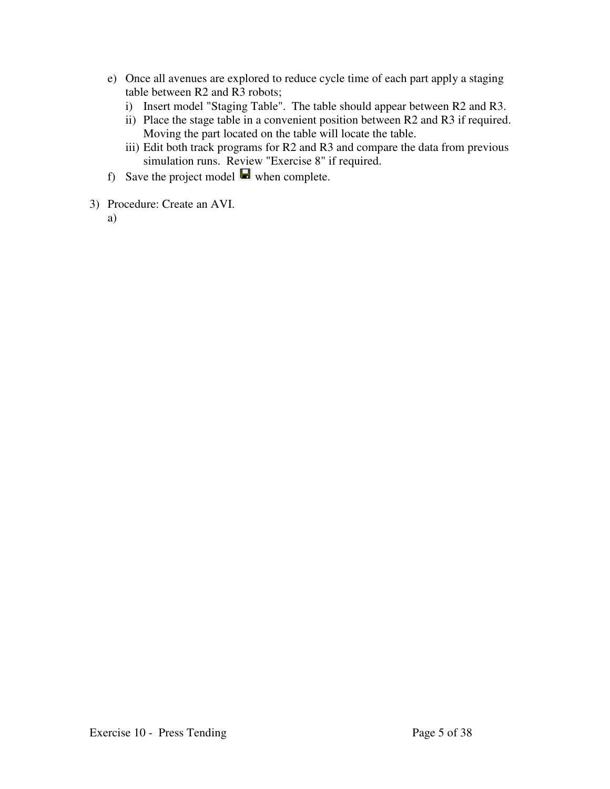- e) Once all avenues are explored to reduce cycle time of each part apply a staging table between R2 and R3 robots;
	- i) Insert model "Staging Table". The table should appear between R2 and R3.
	- ii) Place the stage table in a convenient position between R2 and R3 if required. Moving the part located on the table will locate the table.
	- iii) Edit both track programs for R2 and R3 and compare the data from previous simulation runs. Review "Exercise 8" if required.
- f) Save the project model  $\blacksquare$  when complete.
- 3) Procedure: Create an AVI.
	- a)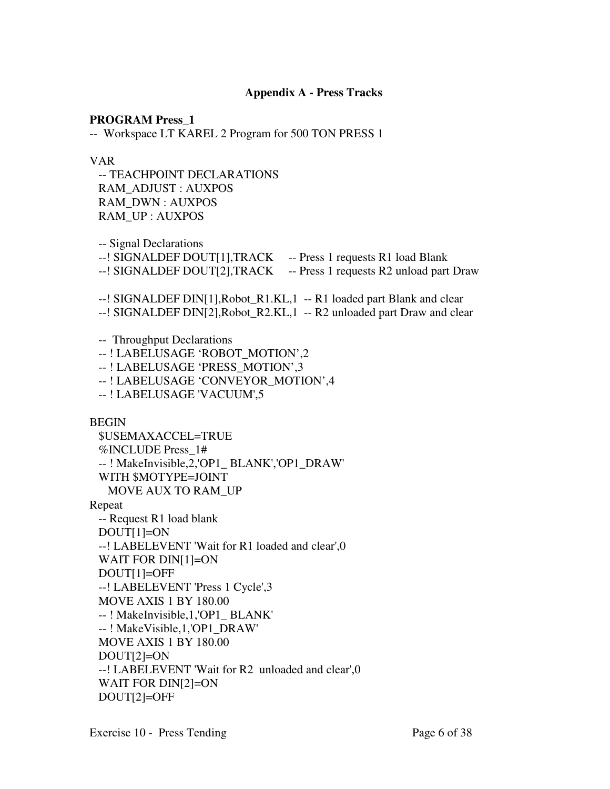# **Appendix A - Press Tracks**

**PROGRAM Press\_1** 

-- Workspace LT KAREL 2 Program for 500 TON PRESS 1

#### VAR

 -- TEACHPOINT DECLARATIONS RAM\_ADJUST : AUXPOS RAM\_DWN : AUXPOS RAM\_UP : AUXPOS

-- Signal Declarations

--! SIGNALDEF DOUT[1], TRACK -- Press 1 requests R1 load Blank

--! SIGNALDEF DOUT[2],TRACK -- Press 1 requests R2 unload part Draw

--! SIGNALDEF DIN[1], Robot R1.KL, 1 -- R1 loaded part Blank and clear

--! SIGNALDEF DIN[2],Robot\_R2.KL,1 -- R2 unloaded part Draw and clear

-- Throughput Declarations

--! LABELUSAGE 'ROBOT\_MOTION',2

-- ! LABELUSAGE 'PRESS\_MOTION',3

-- ! LABELUSAGE 'CONVEYOR\_MOTION',4

-- ! LABELUSAGE 'VACUUM',5

BEGIN

 \$USEMAXACCEL=TRUE %INCLUDE Press\_1# -- ! MakeInvisible,2,'OP1\_ BLANK','OP1\_DRAW' WITH \$MOTYPE=JOINT MOVE AUX TO RAM\_UP Repeat -- Request R1 load blank DOUT[1]=ON --! LABELEVENT 'Wait for R1 loaded and clear',0 WAIT FOR DIN[1]=ON DOUT[1]=OFF --! LABELEVENT 'Press 1 Cycle',3 MOVE AXIS 1 BY 180.00 -- ! MakeInvisible,1,'OP1\_ BLANK' -- ! MakeVisible,1,'OP1\_DRAW' MOVE AXIS 1 BY 180.00 DOUT[2]=ON --! LABELEVENT 'Wait for R2 unloaded and clear',0 WAIT FOR DIN[2]=ON DOUT[2]=OFF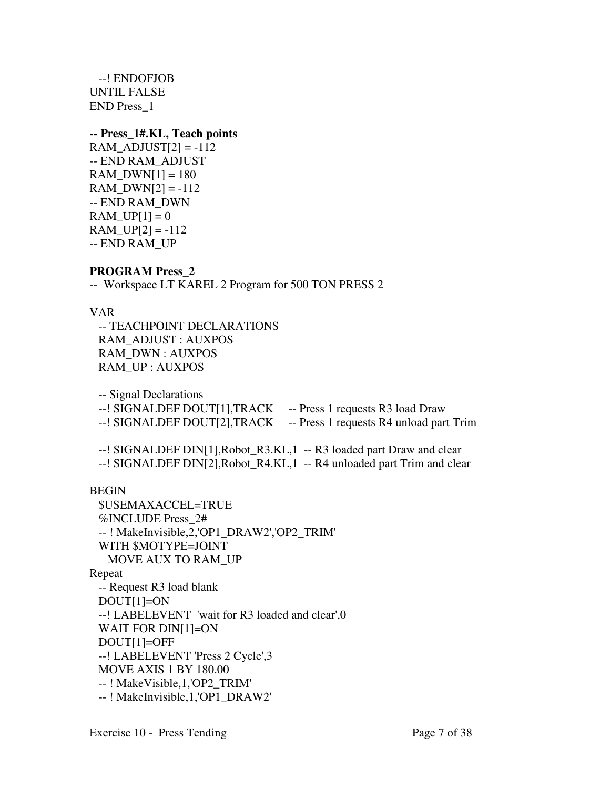--! ENDOFJOB UNTIL FALSE END Press\_1

## **-- Press\_1#.KL, Teach points**

 $RAM\_ADJUST$  = -112 -- END RAM\_ADJUST  $RAM_DWN[1] = 180$  $RAM_DWN[2] = -112$ -- END RAM\_DWN  $RAM_UPI1 = 0$  $RAM_UP[2] = -112$ -- END RAM\_UP

# **PROGRAM Press\_2**

-- Workspace LT KAREL 2 Program for 500 TON PRESS 2

# VAR

 -- TEACHPOINT DECLARATIONS RAM\_ADJUST : AUXPOS RAM\_DWN : AUXPOS RAM\_UP : AUXPOS

-- Signal Declarations

--! SIGNALDEF DOUT[1], TRACK -- Press 1 requests R3 load Draw --! SIGNALDEF DOUT[2], TRACK -- Press 1 requests R4 unload part Trim

--! SIGNALDEF DIN[1], Robot R3.KL, 1 -- R3 loaded part Draw and clear --! SIGNALDEF DIN[2],Robot\_R4.KL,1 -- R4 unloaded part Trim and clear

# BEGIN

```
 $USEMAXACCEL=TRUE 
  %INCLUDE Press_2# 
  -- ! MakeInvisible,2,'OP1_DRAW2','OP2_TRIM' 
  WITH $MOTYPE=JOINT 
    MOVE AUX TO RAM_UP 
Repeat 
  -- Request R3 load blank 
  DOUT[1]=ON 
  --! LABELEVENT 'wait for R3 loaded and clear',0
  WAIT FOR DIN[1]=ON 
  DOUT[1]=OFF 
  --! LABELEVENT 'Press 2 Cycle',3 
  MOVE AXIS 1 BY 180.00 
  -- ! MakeVisible,1,'OP2_TRIM' 
  -- ! MakeInvisible,1,'OP1_DRAW2'
```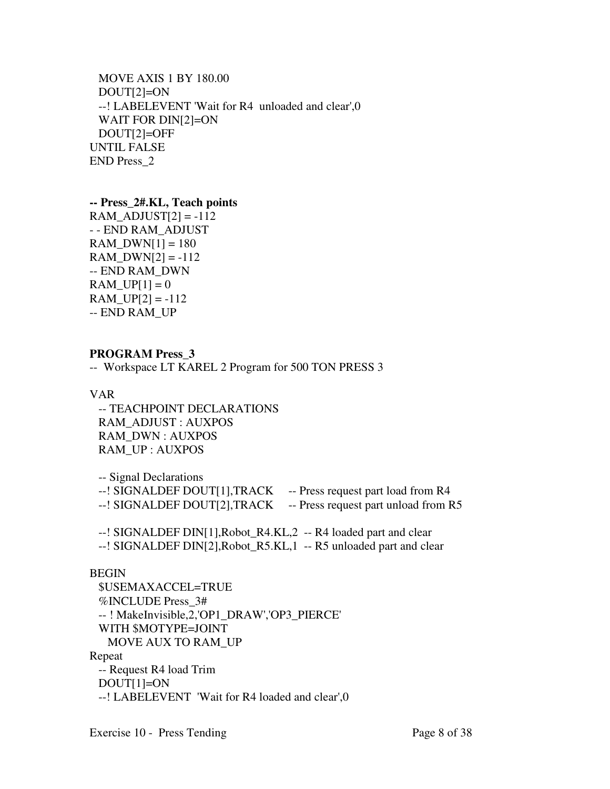```
 MOVE AXIS 1 BY 180.00 
  DOUT[2]=ON 
  --! LABELEVENT 'Wait for R4 unloaded and clear',0 
  WAIT FOR DIN[2]=ON 
  DOUT[2]=OFF 
UNTIL FALSE 
END Press_2
```
#### **-- Press\_2#.KL, Teach points**

 $RAM\_ADJUST$  = -112 - - END RAM\_ADJUST RAM  $DWN[1] = 180$  $RAM_DWN[2] = -112$ -- END RAM\_DWN  $RAM_UPI[1] = 0$ RAM  $UP[2] = -112$ -- END RAM\_UP

# **PROGRAM Press\_3**

-- Workspace LT KAREL 2 Program for 500 TON PRESS 3

VAR

 -- TEACHPOINT DECLARATIONS RAM\_ADJUST : AUXPOS RAM\_DWN : AUXPOS RAM\_UP : AUXPOS

 -- Signal Declarations --! SIGNALDEF DOUT[1],TRACK -- Press request part load from R4 --! SIGNALDEF DOUT[2], TRACK -- Press request part unload from R5 --! SIGNALDEF DIN[1],Robot\_R4.KL,2 -- R4 loaded part and clear

--! SIGNALDEF DIN[2],Robot\_R5.KL,1 -- R5 unloaded part and clear

# BEGIN

 \$USEMAXACCEL=TRUE %INCLUDE Press\_3# -- ! MakeInvisible,2,'OP1\_DRAW','OP3\_PIERCE' WITH \$MOTYPE=JOINT MOVE AUX TO RAM\_UP Repeat -- Request R4 load Trim DOUT[1]=ON --! LABELEVENT 'Wait for R4 loaded and clear',0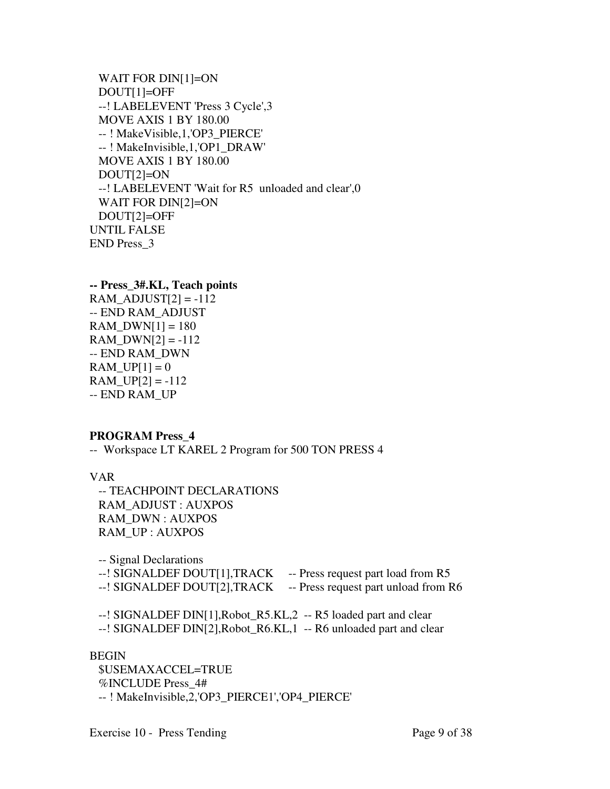```
 WAIT FOR DIN[1]=ON 
  DOUT[1]=OFF 
  --! LABELEVENT 'Press 3 Cycle',3 
  MOVE AXIS 1 BY 180.00 
  -- ! MakeVisible,1,'OP3_PIERCE' 
  -- ! MakeInvisible,1,'OP1_DRAW' 
  MOVE AXIS 1 BY 180.00 
  DOUT[2]=ON 
  --! LABELEVENT 'Wait for R5 unloaded and clear',0 
  WAIT FOR DIN[2]=ON 
  DOUT[2]=OFF 
UNTIL FALSE 
END Press_3
```

```
-- Press_3#.KL, Teach points 
RAM ADJUST[2] = -112-- END RAM_ADJUST 
RAM_DWN[1] = 180RAM_DWN[2] = -112-- END RAM_DWN 
RAM UP[1] = 0RAM_UPI[2] = -112-- END RAM_UP
```
# **PROGRAM Press\_4**

-- Workspace LT KAREL 2 Program for 500 TON PRESS 4

VAR

 -- TEACHPOINT DECLARATIONS RAM\_ADJUST : AUXPOS RAM\_DWN : AUXPOS RAM\_UP : AUXPOS

 -- Signal Declarations --! SIGNALDEF DOUT[1],TRACK -- Press request part load from R5 --! SIGNALDEF DOUT[2], TRACK -- Press request part unload from R6

 --! SIGNALDEF DIN[1],Robot\_R5.KL,2 -- R5 loaded part and clear --! SIGNALDEF DIN[2],Robot\_R6.KL,1 -- R6 unloaded part and clear

#### BEGIN

 \$USEMAXACCEL=TRUE %INCLUDE Press\_4# -- ! MakeInvisible,2,'OP3\_PIERCE1','OP4\_PIERCE'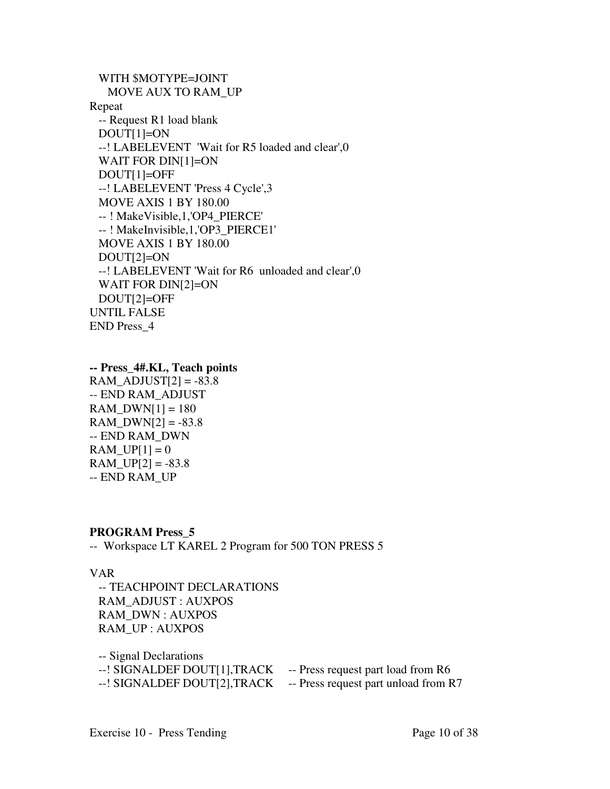```
 WITH $MOTYPE=JOINT 
    MOVE AUX TO RAM_UP 
Repeat 
  -- Request R1 load blank 
  DOUT[1]=ON 
  --! LABELEVENT 'Wait for R5 loaded and clear',0
  WAIT FOR DIN[1]=ON 
  DOUT[1]=OFF 
  --! LABELEVENT 'Press 4 Cycle',3 
  MOVE AXIS 1 BY 180.00 
  -- ! MakeVisible,1,'OP4_PIERCE' 
  -- ! MakeInvisible,1,'OP3_PIERCE1' 
  MOVE AXIS 1 BY 180.00 
  DOUT[2]=ON 
  --! LABELEVENT 'Wait for R6 unloaded and clear',0 
  WAIT FOR DIN[2]=ON 
  DOUT[2]=OFF 
UNTIL FALSE 
END Press_4
```

```
-- Press_4#.KL, Teach points
```
 $RAM\_ADJUST[2] = -83.8$ -- END RAM\_ADJUST  $RAM_DWN[1] = 180$  $RAM_DWN[2] = -83.8$ -- END RAM\_DWN  $RAM_UPI] = 0$  $RAM_UP[2] = -83.8$ -- END RAM\_UP

# **PROGRAM Press\_5**

-- Workspace LT KAREL 2 Program for 500 TON PRESS 5

# VAR

 -- TEACHPOINT DECLARATIONS RAM\_ADJUST : AUXPOS RAM\_DWN : AUXPOS RAM\_UP : AUXPOS

 -- Signal Declarations --! SIGNALDEF DOUT[1],TRACK -- Press request part load from R6 --! SIGNALDEF DOUT[2], TRACK -- Press request part unload from R7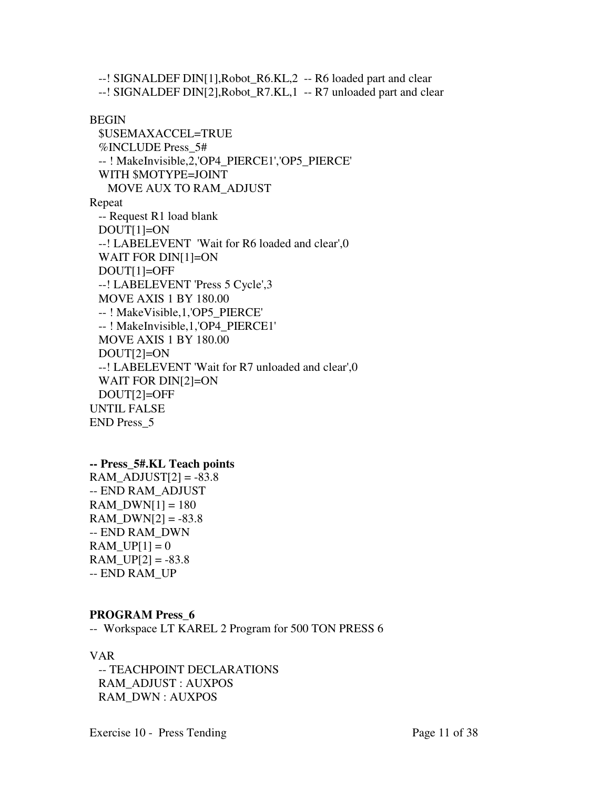--! SIGNALDEF DIN[1],Robot\_R6.KL,2 -- R6 loaded part and clear --! SIGNALDEF DIN[2],Robot\_R7.KL,1 -- R7 unloaded part and clear

#### BEGIN

```
 $USEMAXACCEL=TRUE 
  %INCLUDE Press_5# 
  -- ! MakeInvisible,2,'OP4_PIERCE1','OP5_PIERCE' 
  WITH $MOTYPE=JOINT 
    MOVE AUX TO RAM_ADJUST 
Repeat 
  -- Request R1 load blank 
  DOUT[1]=ON 
  --! LABELEVENT 'Wait for R6 loaded and clear',0
  WAIT FOR DIN[1]=ON 
  DOUT[1]=OFF 
  --! LABELEVENT 'Press 5 Cycle',3 
  MOVE AXIS 1 BY 180.00 
  -- ! MakeVisible,1,'OP5_PIERCE' 
  -- ! MakeInvisible,1,'OP4_PIERCE1' 
  MOVE AXIS 1 BY 180.00 
  DOUT[2]=ON 
  --! LABELEVENT 'Wait for R7 unloaded and clear',0 
  WAIT FOR DIN[2]=ON 
  DOUT[2]=OFF 
UNTIL FALSE 
END Press_5
```
# **-- Press\_5#.KL Teach points**

RAM ADJUST[2] =  $-83.8$ -- END RAM\_ADJUST RAM  $DWN[1] = 180$  $RAM_DWN[2] = -83.8$ -- END RAM\_DWN RAM UP $[1] = 0$ RAM UP[2] =  $-83.8$ -- END RAM\_UP

# **PROGRAM Press\_6**

-- Workspace LT KAREL 2 Program for 500 TON PRESS 6

# VAR

 -- TEACHPOINT DECLARATIONS RAM\_ADJUST : AUXPOS RAM\_DWN : AUXPOS

Exercise 10 - Press Tending Page 11 of 38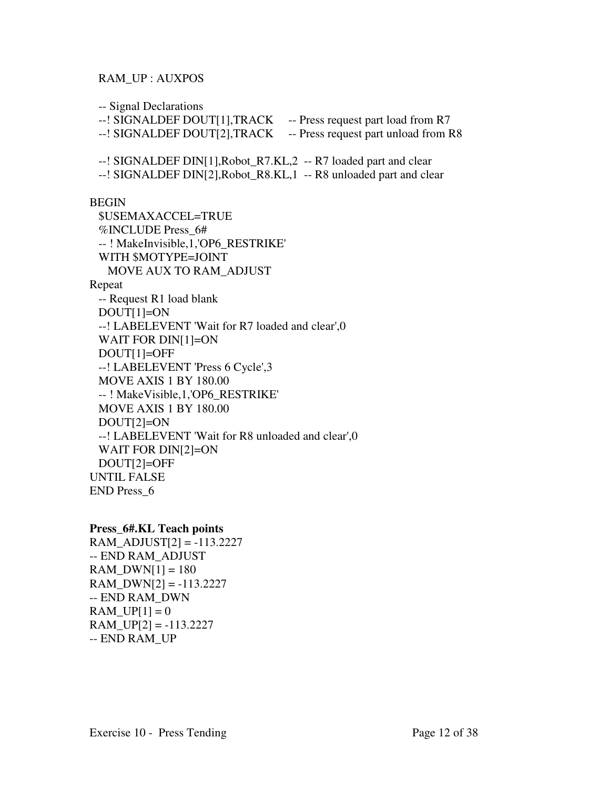## RAM\_UP : AUXPOS

-- Signal Declarations

--! SIGNALDEF DOUT[1],TRACK -- Press request part load from R7

--! SIGNALDEF DOUT[2], TRACK -- Press request part unload from R8

--! SIGNALDEF DIN[1],Robot\_R7.KL,2 -- R7 loaded part and clear

--! SIGNALDEF DIN[2],Robot\_R8.KL,1 -- R8 unloaded part and clear

BEGIN

 \$USEMAXACCEL=TRUE %INCLUDE Press\_6# -- ! MakeInvisible,1,'OP6\_RESTRIKE' WITH \$MOTYPE=JOINT MOVE AUX TO RAM\_ADJUST Repeat -- Request R1 load blank DOUT[1]=ON --! LABELEVENT 'Wait for R7 loaded and clear',0 WAIT FOR DIN[1]=ON DOUT[1]=OFF --! LABELEVENT 'Press 6 Cycle',3 MOVE AXIS 1 BY 180.00 -- ! MakeVisible,1,'OP6\_RESTRIKE' MOVE AXIS 1 BY 180.00 DOUT[2]=ON --! LABELEVENT 'Wait for R8 unloaded and clear',0 WAIT FOR DIN[2]=ON DOUT[2]=OFF UNTIL FALSE END Press\_6

# **Press\_6#.KL Teach points**

 $RAM\_ADJUST[2] = -113.2227$ -- END RAM\_ADJUST  $RAM_DWN[1] = 180$  $RAM_DWN[2] = -113.2227$ -- END RAM\_DWN  $RAM_UPI] = 0$  $RAM_UP[2] = -113.2227$ -- END RAM\_UP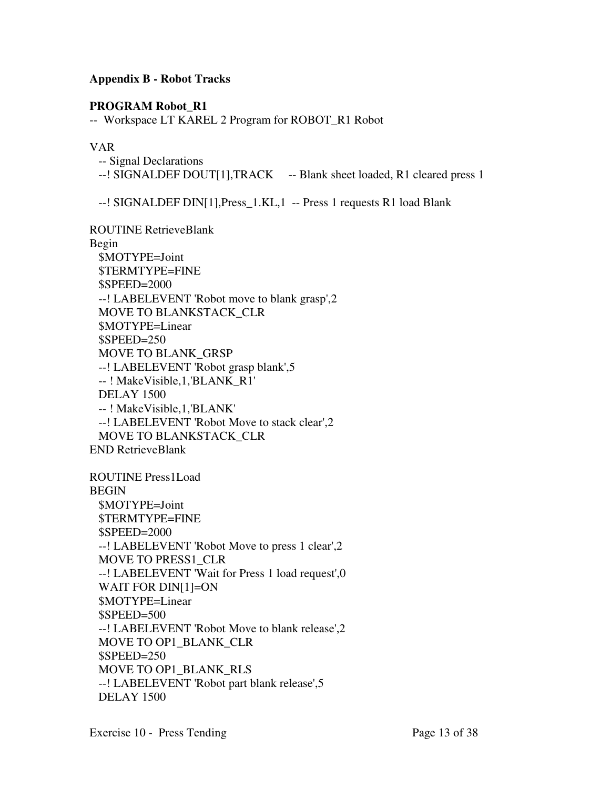# **Appendix B - Robot Tracks**

# **PROGRAM Robot\_R1**

-- Workspace LT KAREL 2 Program for ROBOT\_R1 Robot

# VAR

 -- Signal Declarations --! SIGNALDEF DOUT[1], TRACK -- Blank sheet loaded, R1 cleared press 1

--! SIGNALDEF DIN[1],Press\_1.KL,1 -- Press 1 requests R1 load Blank

ROUTINE RetrieveBlank Begin \$MOTYPE=Joint \$TERMTYPE=FINE \$SPEED=2000 --! LABELEVENT 'Robot move to blank grasp',2 MOVE TO BLANKSTACK\_CLR \$MOTYPE=Linear \$SPEED=250 MOVE TO BLANK\_GRSP --! LABELEVENT 'Robot grasp blank',5 -- ! MakeVisible,1,'BLANK\_R1' DELAY 1500 -- ! MakeVisible,1,'BLANK' --! LABELEVENT 'Robot Move to stack clear',2 MOVE TO BLANKSTACK\_CLR END RetrieveBlank

ROUTINE Press1Load BEGIN \$MOTYPE=Joint \$TERMTYPE=FINE \$SPEED=2000 --! LABELEVENT 'Robot Move to press 1 clear',2 MOVE TO PRESS1\_CLR --! LABELEVENT 'Wait for Press 1 load request',0 WAIT FOR DIN[1]=ON \$MOTYPE=Linear \$SPEED=500 --! LABELEVENT 'Robot Move to blank release',2 MOVE TO OP1\_BLANK\_CLR \$SPEED=250 MOVE TO OP1\_BLANK\_RLS --! LABELEVENT 'Robot part blank release',5 DELAY 1500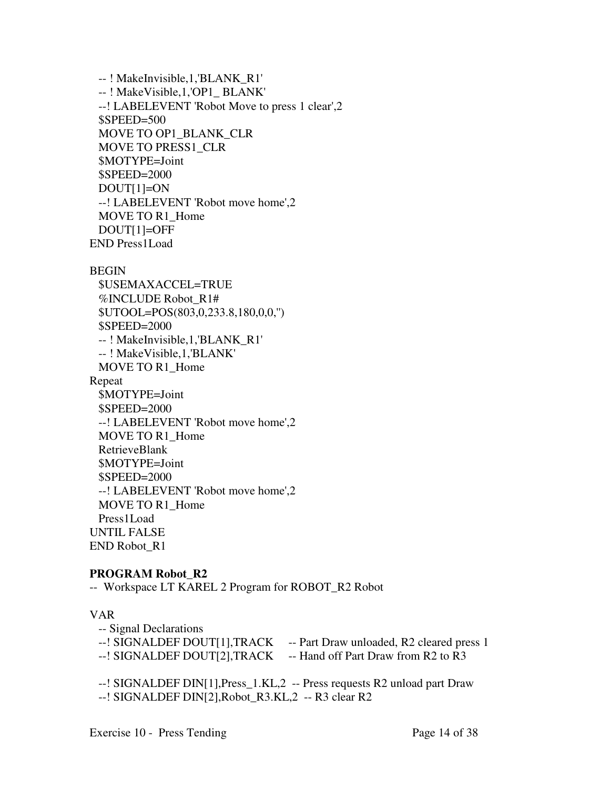```
 -- ! MakeInvisible,1,'BLANK_R1' 
  -- ! MakeVisible,1,'OP1_ BLANK' 
  --! LABELEVENT 'Robot Move to press 1 clear',2 
  $SPEED=500 
  MOVE TO OP1_BLANK_CLR 
  MOVE TO PRESS1_CLR 
  $MOTYPE=Joint 
  $SPEED=2000 
  DOUT[1]=ON 
  --! LABELEVENT 'Robot move home',2 
 MOVE TO R1 Home
  DOUT[1]=OFF 
END Press1Load
```
**BEGIN** 

```
 $USEMAXACCEL=TRUE 
  %INCLUDE Robot_R1# 
  $UTOOL=POS(803,0,233.8,180,0,0,'') 
  $SPEED=2000 
  -- ! MakeInvisible,1,'BLANK_R1' 
  -- ! MakeVisible,1,'BLANK' 
 MOVE TO R1 Home
Repeat 
  $MOTYPE=Joint 
  $SPEED=2000 
  --! LABELEVENT 'Robot move home',2 
 MOVE TO R1 Home
  RetrieveBlank 
  $MOTYPE=Joint 
  $SPEED=2000 
  --! LABELEVENT 'Robot move home',2 
 MOVE TO R1 Home
  Press1Load 
UNTIL FALSE 
END Robot_R1
```
# **PROGRAM Robot\_R2**

-- Workspace LT KAREL 2 Program for ROBOT\_R2 Robot

# VAR

- -- Signal Declarations
- --! SIGNALDEF DOUT[1], TRACK -- Part Draw unloaded, R2 cleared press 1
- --! SIGNALDEF DOUT[2], TRACK -- Hand off Part Draw from R2 to R3

 --! SIGNALDEF DIN[1],Press\_1.KL,2 -- Press requests R2 unload part Draw --! SIGNALDEF DIN[2],Robot\_R3.KL,2 -- R3 clear R2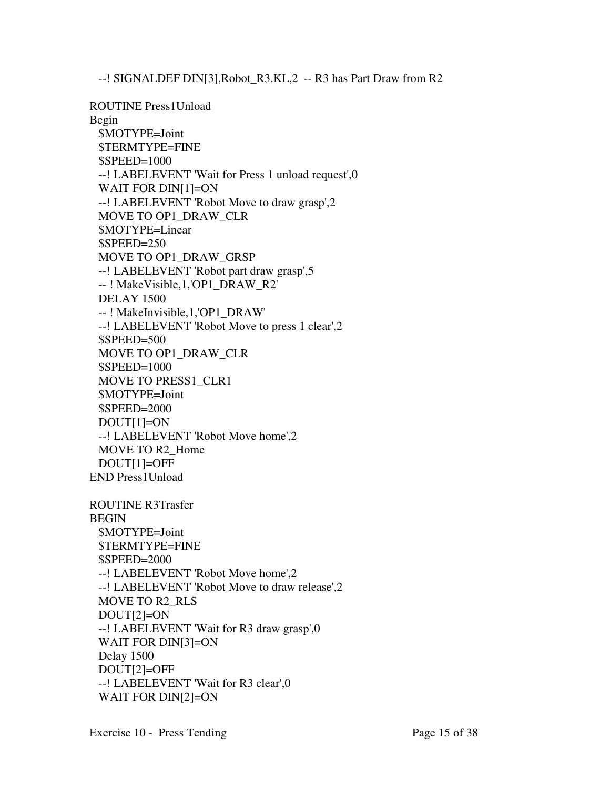--! SIGNALDEF DIN[3],Robot\_R3.KL,2 -- R3 has Part Draw from R2

ROUTINE Press1Unload Begin \$MOTYPE=Joint \$TERMTYPE=FINE \$SPEED=1000 --! LABELEVENT 'Wait for Press 1 unload request',0 WAIT FOR DIN[1]=ON --! LABELEVENT 'Robot Move to draw grasp',2 MOVE TO OP1\_DRAW\_CLR \$MOTYPE=Linear \$SPEED=250 MOVE TO OP1\_DRAW\_GRSP --! LABELEVENT 'Robot part draw grasp',5 -- ! MakeVisible,1,'OP1\_DRAW\_R2' DELAY 1500 -- ! MakeInvisible,1,'OP1\_DRAW' --! LABELEVENT 'Robot Move to press 1 clear',2 \$SPEED=500 MOVE TO OP1\_DRAW\_CLR \$SPEED=1000 MOVE TO PRESS1\_CLR1 \$MOTYPE=Joint \$SPEED=2000 DOUT[1]=ON --! LABELEVENT 'Robot Move home',2 MOVE TO R2\_Home DOUT[1]=OFF END Press1Unload ROUTINE R3Trasfer BEGIN

 \$MOTYPE=Joint \$TERMTYPE=FINE \$SPEED=2000 --! LABELEVENT 'Robot Move home',2 --! LABELEVENT 'Robot Move to draw release',2 MOVE TO R2\_RLS DOUT[2]=ON --! LABELEVENT 'Wait for R3 draw grasp',0 WAIT FOR DIN[3]=ON Delay 1500 DOUT[2]=OFF --! LABELEVENT 'Wait for R3 clear',0 WAIT FOR DIN[2]=ON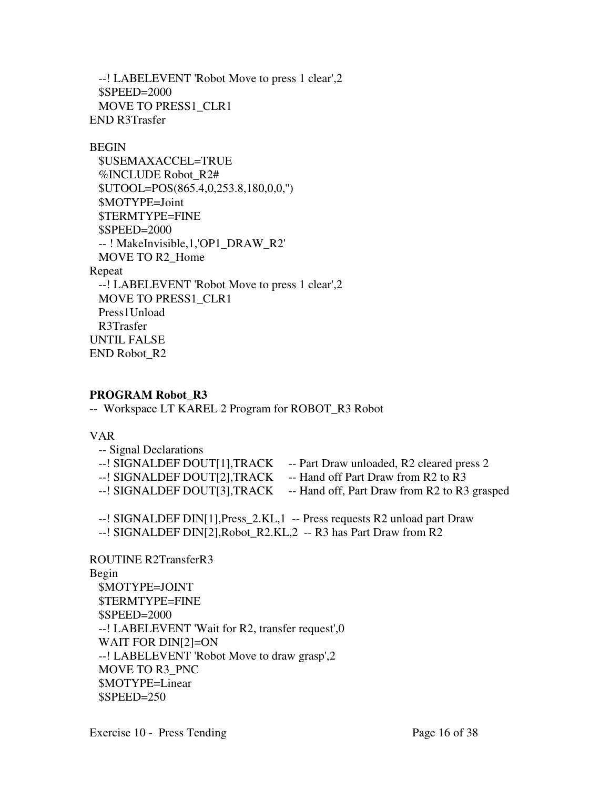--! LABELEVENT 'Robot Move to press 1 clear',2 \$SPEED=2000 MOVE TO PRESS1\_CLR1 END R3Trasfer

#### BEGIN

 \$USEMAXACCEL=TRUE %INCLUDE Robot\_R2# \$UTOOL=POS(865.4,0,253.8,180,0,0,'') \$MOTYPE=Joint \$TERMTYPE=FINE \$SPEED=2000 -- ! MakeInvisible,1,'OP1\_DRAW\_R2' MOVE TO R2\_Home Repeat --! LABELEVENT 'Robot Move to press 1 clear',2 MOVE TO PRESS1\_CLR1 Press1Unload R3Trasfer UNTIL FALSE END Robot\_R2

# **PROGRAM Robot\_R3**

-- Workspace LT KAREL 2 Program for ROBOT\_R3 Robot

# VAR

| -- Signal Declarations      |                                                                           |
|-----------------------------|---------------------------------------------------------------------------|
| --! SIGNALDEF DOUT[1],TRACK | -- Part Draw unloaded, R2 cleared press 2                                 |
| --! SIGNALDEF DOUT[2],TRACK | -- Hand off Part Draw from R2 to R3                                       |
|                             | --! SIGNALDEF DOUT[3], TRACK -- Hand off, Part Draw from R2 to R3 grasped |
|                             |                                                                           |

--! SIGNALDEF DIN[1],Press\_2.KL,1 -- Press requests R2 unload part Draw

--! SIGNALDEF DIN[2],Robot\_R2.KL,2 -- R3 has Part Draw from R2

ROUTINE R2TransferR3 Begin \$MOTYPE=JOINT \$TERMTYPE=FINE \$SPEED=2000 --! LABELEVENT 'Wait for R2, transfer request',0 WAIT FOR DIN[2]=ON --! LABELEVENT 'Robot Move to draw grasp',2 MOVE TO R3\_PNC \$MOTYPE=Linear  $SPEED=250$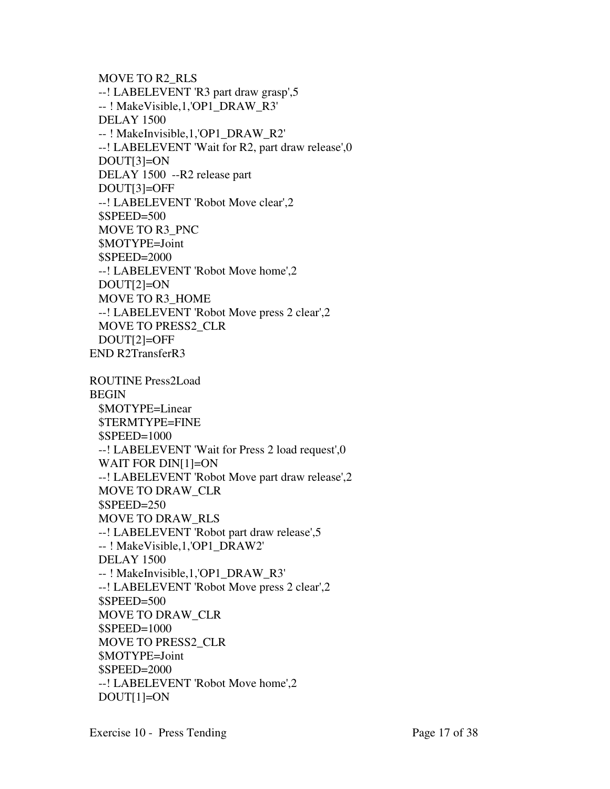```
 MOVE TO R2_RLS 
  --! LABELEVENT 'R3 part draw grasp',5 
  -- ! MakeVisible,1,'OP1_DRAW_R3' 
  DELAY 1500 
  -- ! MakeInvisible,1,'OP1_DRAW_R2' 
  --! LABELEVENT 'Wait for R2, part draw release',0 
  DOUT[3]=ON 
  DELAY 1500 --R2 release part 
  DOUT[3]=OFF 
  --! LABELEVENT 'Robot Move clear',2 
 $SPEED=500 MOVE TO R3_PNC 
  $MOTYPE=Joint 
  $SPEED=2000 
  --! LABELEVENT 'Robot Move home',2 
  DOUT[2]=ON 
  MOVE TO R3_HOME 
  --! LABELEVENT 'Robot Move press 2 clear',2 
  MOVE TO PRESS2_CLR 
  DOUT[2]=OFF 
END R2TransferR3 
ROUTINE Press2Load 
BEGIN 
  $MOTYPE=Linear 
  $TERMTYPE=FINE 
  $SPEED=1000 
  --! LABELEVENT 'Wait for Press 2 load request',0
 WAIT FOR DIN[1]=ON
  --! LABELEVENT 'Robot Move part draw release',2 
  MOVE TO DRAW_CLR 
  $SPEED=250 
  MOVE TO DRAW_RLS 
  --! LABELEVENT 'Robot part draw release',5 
  -- ! MakeVisible,1,'OP1_DRAW2' 
  DELAY 1500 
  -- ! MakeInvisible,1,'OP1_DRAW_R3' 
  --! LABELEVENT 'Robot Move press 2 clear',2 
  $SPEED=500 
  MOVE TO DRAW_CLR 
  $SPEED=1000 
  MOVE TO PRESS2_CLR 
  $MOTYPE=Joint 
  $SPEED=2000 
  --! LABELEVENT 'Robot Move home',2 
 DOUT[1]=ON
```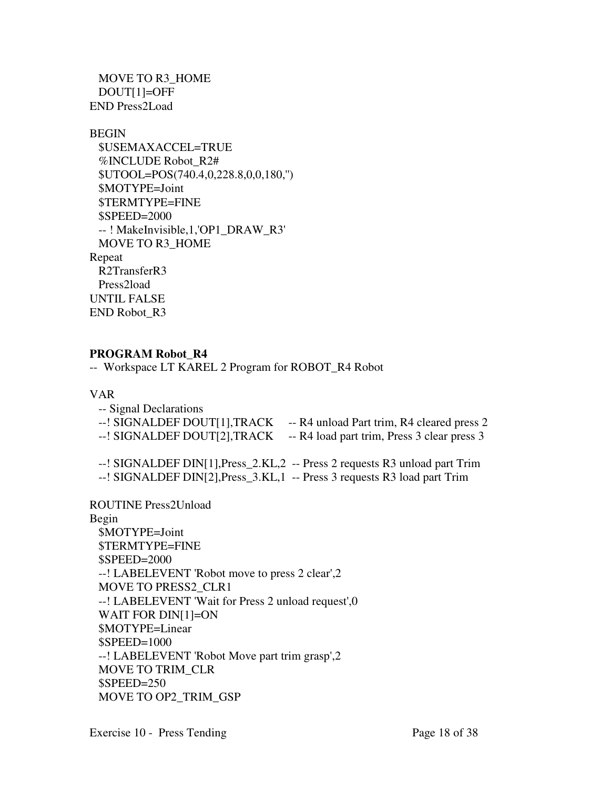MOVE TO R3\_HOME DOUT[1]=OFF END Press2Load

#### BEGIN

```
 $USEMAXACCEL=TRUE 
  %INCLUDE Robot_R2# 
  $UTOOL=POS(740.4,0,228.8,0,0,180,'') 
  $MOTYPE=Joint 
  $TERMTYPE=FINE 
  $SPEED=2000 
  -- ! MakeInvisible,1,'OP1_DRAW_R3' 
  MOVE TO R3_HOME 
Repeat 
  R2TransferR3 
  Press2load 
UNTIL FALSE 
END Robot_R3
```
# **PROGRAM Robot\_R4**

-- Workspace LT KAREL 2 Program for ROBOT\_R4 Robot

## VAR

| -- Signal Declarations<br>--! SIGNALDEF DOUT[1],TRACK<br>--! SIGNALDEF DOUT[2],TRACK | -- R4 unload Part trim, R4 cleared press 2<br>-- R4 load part trim, Press 3 clear press 3                                                                |
|--------------------------------------------------------------------------------------|----------------------------------------------------------------------------------------------------------------------------------------------------------|
|                                                                                      | --! SIGNALDEF DIN[1], Press_2.KL, 2 -- Press 2 requests R3 unload part Trim<br>--! SIGNALDEF DIN[2], Press_3.KL, 1 -- Press 3 requests R3 load part Trim |

ROUTINE Press2Unload

Begin \$MOTYPE=Joint \$TERMTYPE=FINE \$SPEED=2000 --! LABELEVENT 'Robot move to press 2 clear',2 MOVE TO PRESS2\_CLR1 --! LABELEVENT 'Wait for Press 2 unload request',0 WAIT FOR DIN[1]=ON \$MOTYPE=Linear \$SPEED=1000 --! LABELEVENT 'Robot Move part trim grasp',2 MOVE TO TRIM\_CLR \$SPEED=250 MOVE TO OP2\_TRIM\_GSP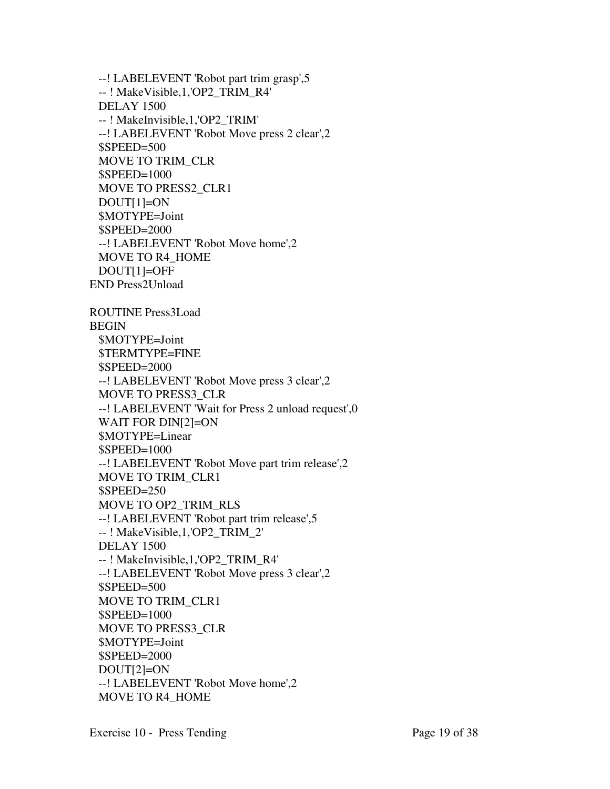--! LABELEVENT 'Robot part trim grasp',5 -- ! MakeVisible,1,'OP2\_TRIM\_R4' DELAY 1500 -- ! MakeInvisible,1,'OP2\_TRIM' --! LABELEVENT 'Robot Move press 2 clear',2 \$SPEED=500 MOVE TO TRIM\_CLR \$SPEED=1000 MOVE TO PRESS2\_CLR1 DOUT[1]=ON \$MOTYPE=Joint \$SPEED=2000 --! LABELEVENT 'Robot Move home',2 MOVE TO R4\_HOME DOUT[1]=OFF END Press2Unload ROUTINE Press3Load BEGIN \$MOTYPE=Joint \$TERMTYPE=FINE \$SPEED=2000 --! LABELEVENT 'Robot Move press 3 clear',2 MOVE TO PRESS3\_CLR --! LABELEVENT 'Wait for Press 2 unload request',0 WAIT FOR DIN[2]=ON \$MOTYPE=Linear \$SPEED=1000 --! LABELEVENT 'Robot Move part trim release',2 MOVE TO TRIM\_CLR1 \$SPEED=250 MOVE TO OP2\_TRIM\_RLS --! LABELEVENT 'Robot part trim release',5 -- ! MakeVisible,1,'OP2\_TRIM\_2' DELAY 1500 -- ! MakeInvisible,1,'OP2\_TRIM\_R4' --! LABELEVENT 'Robot Move press 3 clear',2 \$SPEED=500 MOVE TO TRIM\_CLR1 \$SPEED=1000 MOVE TO PRESS3\_CLR \$MOTYPE=Joint \$SPEED=2000 DOUT[2]=ON --! LABELEVENT 'Robot Move home',2 MOVE TO R4\_HOME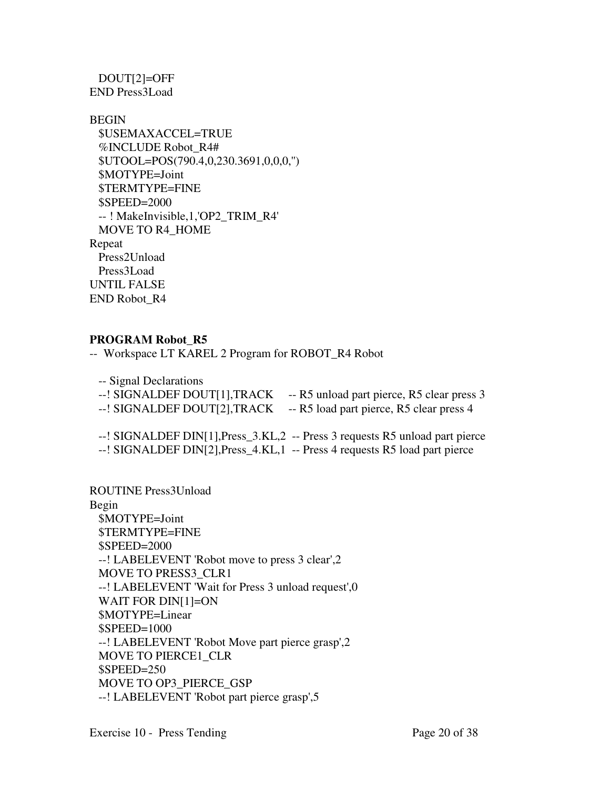DOUT[2]=OFF END Press3Load

BEGIN \$USEMAXACCEL=TRUE %INCLUDE Robot\_R4# \$UTOOL=POS(790.4,0,230.3691,0,0,0,'') \$MOTYPE=Joint \$TERMTYPE=FINE \$SPEED=2000 -- ! MakeInvisible,1,'OP2\_TRIM\_R4' MOVE TO R4\_HOME Repeat Press2Unload Press3Load UNTIL FALSE END Robot\_R4

# **PROGRAM Robot\_R5**

-- Workspace LT KAREL 2 Program for ROBOT\_R4 Robot

 -- Signal Declarations --! SIGNALDEF DOUT[1], TRACK -- R5 unload part pierce, R5 clear press 3 --! SIGNALDEF DOUT[2], TRACK -- R5 load part pierce, R5 clear press 4

 --! SIGNALDEF DIN[1],Press\_3.KL,2 -- Press 3 requests R5 unload part pierce --! SIGNALDEF DIN[2], Press 4.KL, 1 -- Press 4 requests R5 load part pierce

ROUTINE Press3Unload Begin \$MOTYPE=Joint \$TERMTYPE=FINE \$SPEED=2000 --! LABELEVENT 'Robot move to press 3 clear',2 MOVE TO PRESS3\_CLR1 --! LABELEVENT 'Wait for Press 3 unload request',0 WAIT FOR DIN[1]=ON \$MOTYPE=Linear \$SPEED=1000 --! LABELEVENT 'Robot Move part pierce grasp',2 MOVE TO PIERCE1\_CLR \$SPEED=250 MOVE TO OP3\_PIERCE\_GSP --! LABELEVENT 'Robot part pierce grasp',5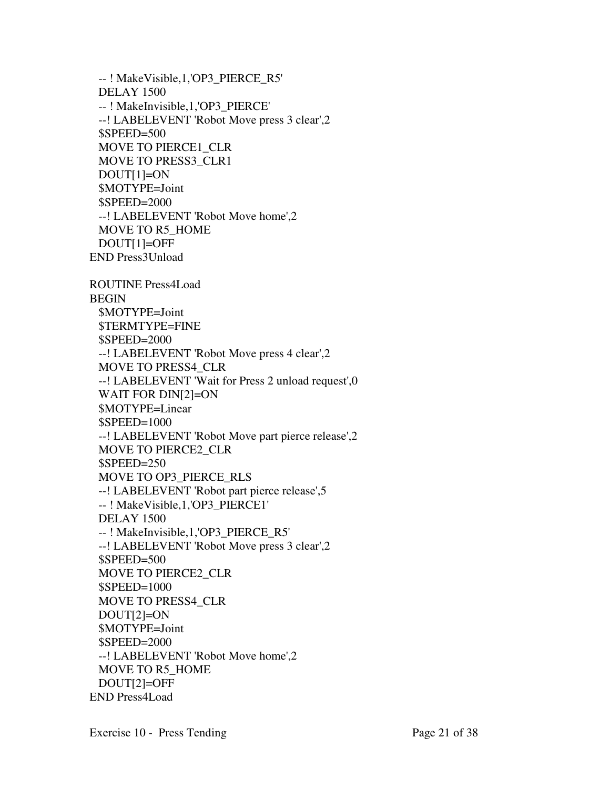-- ! MakeVisible,1,'OP3\_PIERCE\_R5' DELAY 1500 -- ! MakeInvisible,1,'OP3\_PIERCE' --! LABELEVENT 'Robot Move press 3 clear',2 \$SPEED=500 MOVE TO PIERCE1\_CLR MOVE TO PRESS3\_CLR1 DOUT[1]=ON \$MOTYPE=Joint \$SPEED=2000 --! LABELEVENT 'Robot Move home',2 MOVE TO R5\_HOME DOUT[1]=OFF END Press3Unload ROUTINE Press4Load BEGIN \$MOTYPE=Joint \$TERMTYPE=FINE \$SPEED=2000 --! LABELEVENT 'Robot Move press 4 clear',2 MOVE TO PRESS4\_CLR --! LABELEVENT 'Wait for Press 2 unload request',0 WAIT FOR DIN[2]=ON \$MOTYPE=Linear \$SPEED=1000 --! LABELEVENT 'Robot Move part pierce release',2 MOVE TO PIERCE2\_CLR \$SPEED=250 MOVE TO OP3\_PIERCE\_RLS --! LABELEVENT 'Robot part pierce release',5 -- ! MakeVisible,1,'OP3\_PIERCE1' DELAY 1500 -- ! MakeInvisible,1,'OP3\_PIERCE\_R5' --! LABELEVENT 'Robot Move press 3 clear',2 \$SPEED=500 MOVE TO PIERCE2\_CLR \$SPEED=1000 MOVE TO PRESS4\_CLR

Exercise 10 - Press Tending Page 21 of 38

MOVE TO R5\_HOME

--! LABELEVENT 'Robot Move home',2

 DOUT[2]=ON \$MOTYPE=Joint \$SPEED=2000

 DOUT[2]=OFF END Press4Load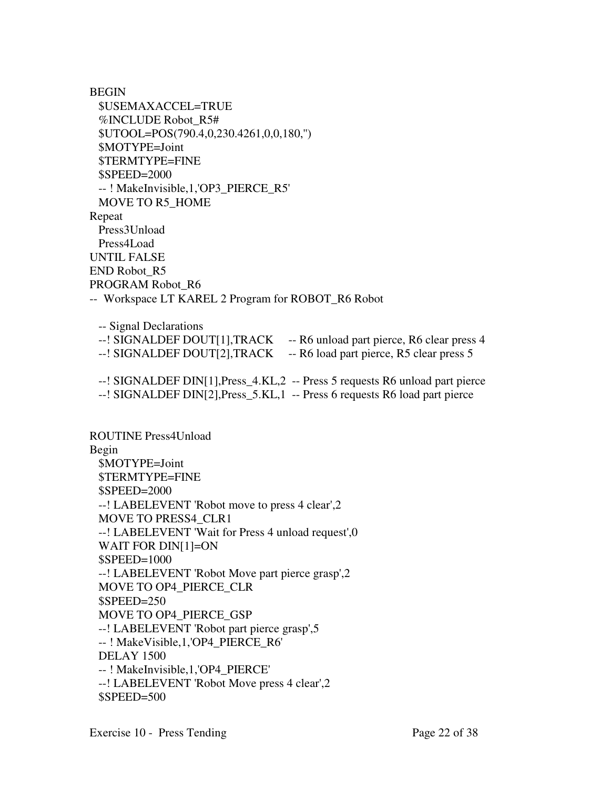**BEGIN**  \$USEMAXACCEL=TRUE %INCLUDE Robot\_R5# \$UTOOL=POS(790.4,0,230.4261,0,0,180,'') \$MOTYPE=Joint \$TERMTYPE=FINE \$SPEED=2000 -- ! MakeInvisible,1,'OP3\_PIERCE\_R5' MOVE TO R5\_HOME Repeat Press3Unload Press4Load UNTIL FALSE END Robot\_R5 PROGRAM Robot\_R6 -- Workspace LT KAREL 2 Program for ROBOT\_R6 Robot

 -- Signal Declarations --! SIGNALDEF DOUT[1], TRACK -- R6 unload part pierce, R6 clear press 4 --! SIGNALDEF DOUT[2], TRACK -- R6 load part pierce, R5 clear press 5

 --! SIGNALDEF DIN[1],Press\_4.KL,2 -- Press 5 requests R6 unload part pierce --! SIGNALDEF DIN[2],Press\_5.KL,1 -- Press 6 requests R6 load part pierce

ROUTINE Press4Unload Begin \$MOTYPE=Joint \$TERMTYPE=FINE \$SPEED=2000 --! LABELEVENT 'Robot move to press 4 clear',2 MOVE TO PRESS4\_CLR1 --! LABELEVENT 'Wait for Press 4 unload request',0 WAIT FOR DIN[1]=ON \$SPEED=1000 --! LABELEVENT 'Robot Move part pierce grasp',2 MOVE TO OP4\_PIERCE\_CLR \$SPEED=250 MOVE TO OP4\_PIERCE\_GSP --! LABELEVENT 'Robot part pierce grasp',5 -- ! MakeVisible,1,'OP4\_PIERCE\_R6' DELAY 1500 -- ! MakeInvisible,1,'OP4\_PIERCE' --! LABELEVENT 'Robot Move press 4 clear',2  $$SPEED=500$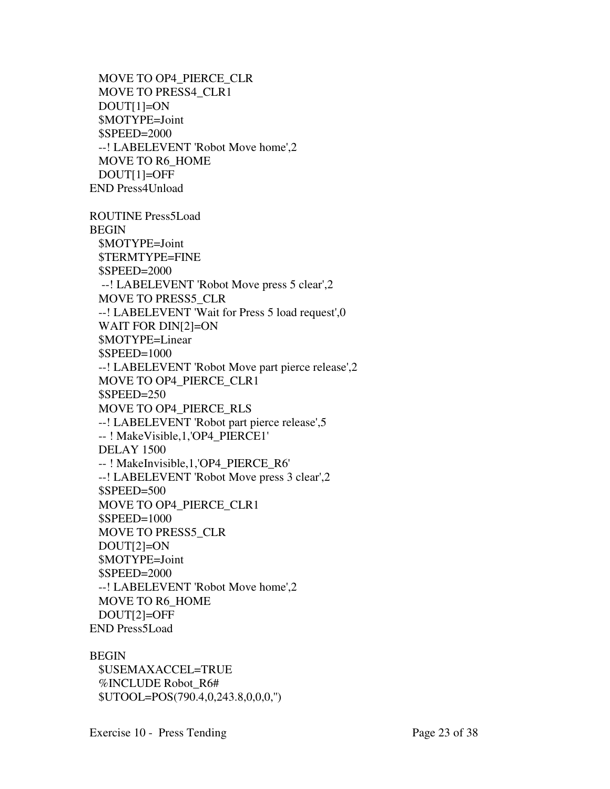```
 MOVE TO OP4_PIERCE_CLR 
  MOVE TO PRESS4_CLR1 
  DOUT[1]=ON 
  $MOTYPE=Joint 
  $SPEED=2000 
  --! LABELEVENT 'Robot Move home',2 
  MOVE TO R6_HOME 
  DOUT[1]=OFF 
END Press4Unload
```
ROUTINE Press5Load BEGIN \$MOTYPE=Joint \$TERMTYPE=FINE \$SPEED=2000 --! LABELEVENT 'Robot Move press 5 clear',2 MOVE TO PRESS5\_CLR --! LABELEVENT 'Wait for Press 5 load request',0 WAIT FOR DIN[2]=ON \$MOTYPE=Linear \$SPEED=1000 --! LABELEVENT 'Robot Move part pierce release',2 MOVE TO OP4\_PIERCE\_CLR1 \$SPEED=250 MOVE TO OP4\_PIERCE\_RLS --! LABELEVENT 'Robot part pierce release',5 -- ! MakeVisible,1,'OP4\_PIERCE1' DELAY 1500 -- ! MakeInvisible,1,'OP4\_PIERCE\_R6' --! LABELEVENT 'Robot Move press 3 clear',2 \$SPEED=500 MOVE TO OP4\_PIERCE\_CLR1 \$SPEED=1000 MOVE TO PRESS5\_CLR DOUT[2]=ON \$MOTYPE=Joint \$SPEED=2000 --! LABELEVENT 'Robot Move home',2 MOVE TO R6\_HOME DOUT[2]=OFF END Press5Load

# BEGIN

 \$USEMAXACCEL=TRUE %INCLUDE Robot\_R6# \$UTOOL=POS(790.4,0,243.8,0,0,0,'')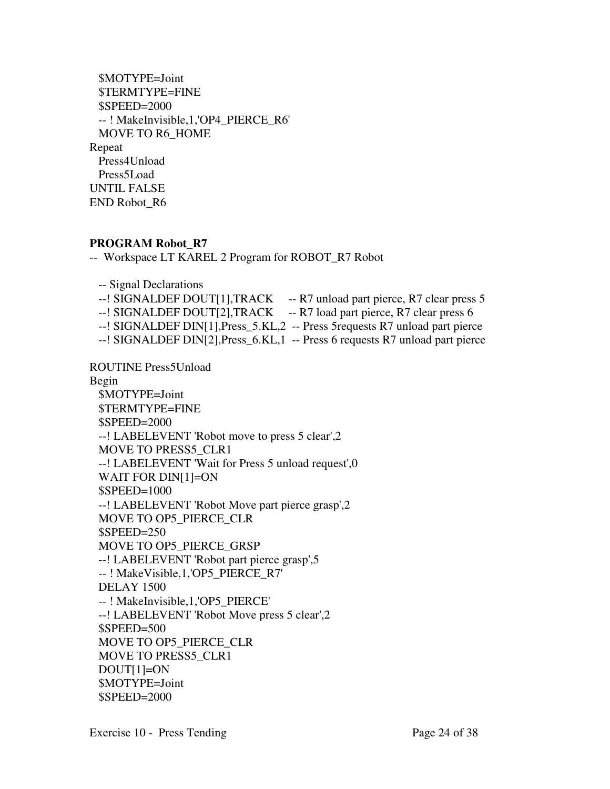| \$MOTYPE=Joint                      |
|-------------------------------------|
| \$TERMTYPE=FINE                     |
| \$SPEED=2000                        |
| --! MakeInvisible,1,'OP4_PIERCE_R6' |
| MOVE TO R6 HOME                     |
| Repeat                              |
| Press4Unload                        |
| Press5Load                          |
| UNTIL FALSE                         |
| END Robot R6                        |
|                                     |

# **PROGRAM Robot\_R7**

-- Workspace LT KAREL 2 Program for ROBOT\_R7 Robot

-- Signal Declarations

--! SIGNALDEF DOUT[1], TRACK -- R7 unload part pierce, R7 clear press 5

--! SIGNALDEF DOUT[2], TRACK -- R7 load part pierce, R7 clear press 6

--! SIGNALDEF DIN[1],Press\_5.KL,2 -- Press 5requests R7 unload part pierce

--! SIGNALDEF DIN[2],Press\_6.KL,1 -- Press 6 requests R7 unload part pierce

ROUTINE Press5Unload

Begin

 \$MOTYPE=Joint \$TERMTYPE=FINE \$SPEED=2000 --! LABELEVENT 'Robot move to press 5 clear',2 MOVE TO PRESS5\_CLR1 --! LABELEVENT 'Wait for Press 5 unload request',0 WAIT FOR DIN[1]=ON \$SPEED=1000 --! LABELEVENT 'Robot Move part pierce grasp',2 MOVE TO OP5\_PIERCE\_CLR \$SPEED=250 MOVE TO OP5\_PIERCE\_GRSP --! LABELEVENT 'Robot part pierce grasp',5 -- ! MakeVisible,1,'OP5\_PIERCE\_R7' DELAY 1500 -- ! MakeInvisible,1,'OP5\_PIERCE' --! LABELEVENT 'Robot Move press 5 clear',2 \$SPEED=500 MOVE TO OP5\_PIERCE\_CLR MOVE TO PRESS5\_CLR1 DOUT[1]=ON \$MOTYPE=Joint \$SPEED=2000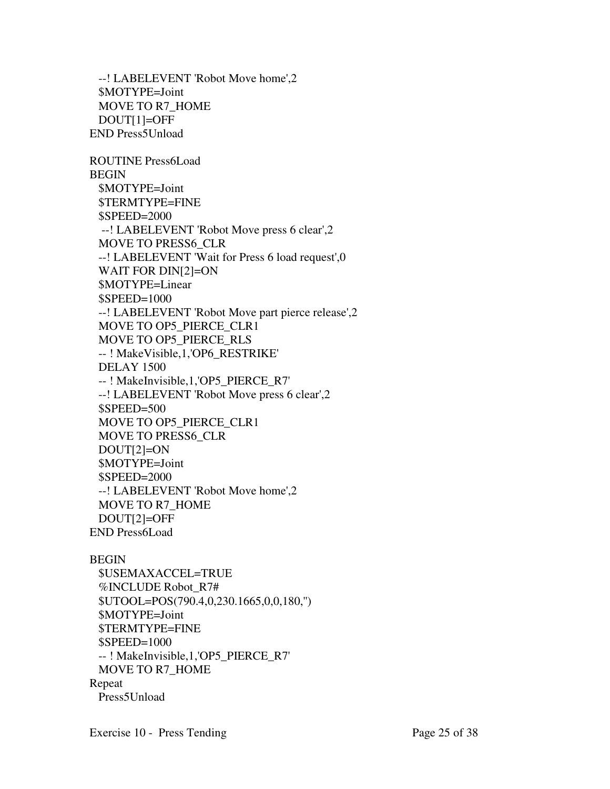--! LABELEVENT 'Robot Move home',2 \$MOTYPE=Joint MOVE TO R7\_HOME DOUT[1]=OFF END Press5Unload ROUTINE Press6Load BEGIN \$MOTYPE=Joint \$TERMTYPE=FINE \$SPEED=2000 --! LABELEVENT 'Robot Move press 6 clear',2 MOVE TO PRESS6\_CLR --! LABELEVENT 'Wait for Press 6 load request',0 WAIT FOR DIN[2]=ON \$MOTYPE=Linear \$SPEED=1000 --! LABELEVENT 'Robot Move part pierce release',2 MOVE TO OP5\_PIERCE\_CLR1 MOVE TO OP5\_PIERCE\_RLS -- ! MakeVisible,1,'OP6\_RESTRIKE' DELAY 1500 -- ! MakeInvisible,1,'OP5\_PIERCE\_R7' --! LABELEVENT 'Robot Move press 6 clear',2 \$SPEED=500 MOVE TO OP5\_PIERCE\_CLR1 MOVE TO PRESS6\_CLR DOUT[2]=ON \$MOTYPE=Joint \$SPEED=2000 --! LABELEVENT 'Robot Move home',2 MOVE TO R7\_HOME DOUT[2]=OFF END Press6Load

#### BEGIN

 \$USEMAXACCEL=TRUE %INCLUDE Robot\_R7# \$UTOOL=POS(790.4,0,230.1665,0,0,180,'') \$MOTYPE=Joint \$TERMTYPE=FINE \$SPEED=1000 -- ! MakeInvisible,1,'OP5\_PIERCE\_R7' MOVE TO R7\_HOME Repeat Press5Unload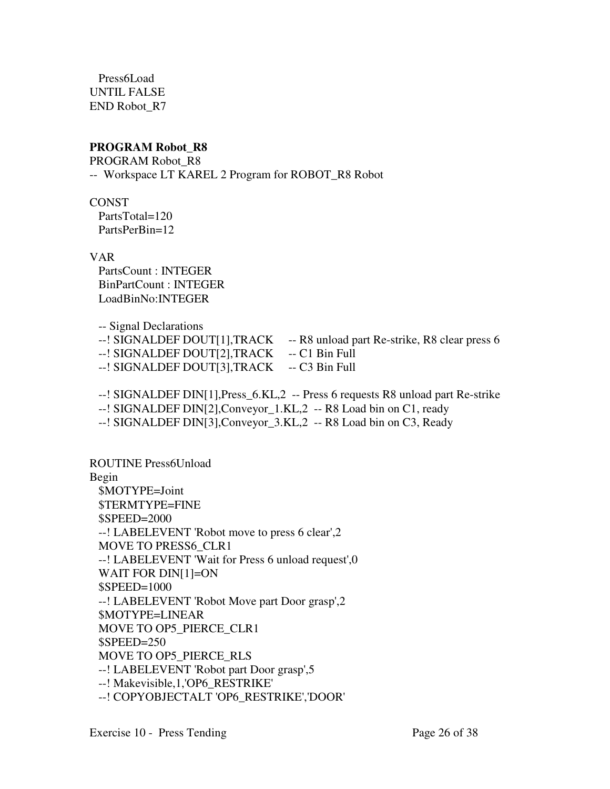Press6Load UNTIL FALSE END Robot\_R7

# **PROGRAM Robot\_R8**

PROGRAM Robot\_R8 -- Workspace LT KAREL 2 Program for ROBOT\_R8 Robot

**CONST** PartsTotal=120

PartsPerBin=12

VAR

 PartsCount : INTEGER BinPartCount : INTEGER LoadBinNo:INTEGER

-- Signal Declarations

- --! SIGNALDEF DOUT[1], TRACK -- R8 unload part Re-strike, R8 clear press 6
- --! SIGNALDEF DOUT[2],TRACK -- C1 Bin Full
- --! SIGNALDEF DOUT[3], TRACK -- C3 Bin Full

--! SIGNALDEF DIN[1],Press\_6.KL,2 -- Press 6 requests R8 unload part Re-strike

--! SIGNALDEF DIN[2],Conveyor\_1.KL,2 -- R8 Load bin on C1, ready

--! SIGNALDEF DIN[3],Conveyor\_3.KL,2 -- R8 Load bin on C3, Ready

ROUTINE Press6Unload Begin \$MOTYPE=Joint \$TERMTYPE=FINE \$SPEED=2000 --! LABELEVENT 'Robot move to press 6 clear',2 MOVE TO PRESS6\_CLR1 --! LABELEVENT 'Wait for Press 6 unload request',0 WAIT FOR DIN[1]=ON \$SPEED=1000 --! LABELEVENT 'Robot Move part Door grasp',2 \$MOTYPE=LINEAR MOVE TO OP5\_PIERCE\_CLR1 \$SPEED=250 MOVE TO OP5\_PIERCE\_RLS --! LABELEVENT 'Robot part Door grasp',5 --! Makevisible,1,'OP6\_RESTRIKE' --! COPYOBJECTALT 'OP6\_RESTRIKE','DOOR'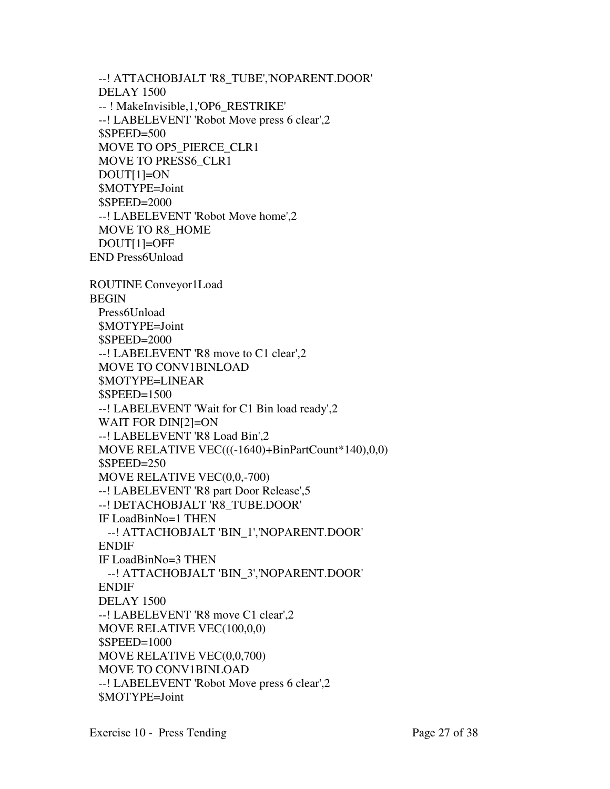--! ATTACHOBJALT 'R8\_TUBE','NOPARENT.DOOR' DELAY 1500 -- ! MakeInvisible,1,'OP6\_RESTRIKE' --! LABELEVENT 'Robot Move press 6 clear',2 \$SPEED=500 MOVE TO OP5\_PIERCE\_CLR1 MOVE TO PRESS6\_CLR1 DOUT[1]=ON \$MOTYPE=Joint \$SPEED=2000 --! LABELEVENT 'Robot Move home',2 MOVE TO R8\_HOME DOUT[1]=OFF END Press6Unload ROUTINE Conveyor1Load BEGIN Press6Unload \$MOTYPE=Joint \$SPEED=2000 --! LABELEVENT 'R8 move to C1 clear',2 MOVE TO CONV1BINLOAD \$MOTYPE=LINEAR \$SPEED=1500 --! LABELEVENT 'Wait for C1 Bin load ready',2 WAIT FOR DIN[2]=ON --! LABELEVENT 'R8 Load Bin',2 MOVE RELATIVE VEC(((-1640)+BinPartCount\*140),0,0) \$SPEED=250 MOVE RELATIVE VEC(0,0,-700) --! LABELEVENT 'R8 part Door Release',5 --! DETACHOBJALT 'R8\_TUBE.DOOR' IF LoadBinNo=1 THEN --! ATTACHOBJALT 'BIN\_1','NOPARENT.DOOR' ENDIF IF LoadBinNo=3 THEN --! ATTACHOBJALT 'BIN\_3','NOPARENT.DOOR' ENDIF

```
 DELAY 1500
```
 --! LABELEVENT 'R8 move C1 clear',2 MOVE RELATIVE VEC(100,0,0)

\$SPEED=1000

 MOVE RELATIVE VEC(0,0,700) MOVE TO CONV1BINLOAD

 --! LABELEVENT 'Robot Move press 6 clear',2 \$MOTYPE=Joint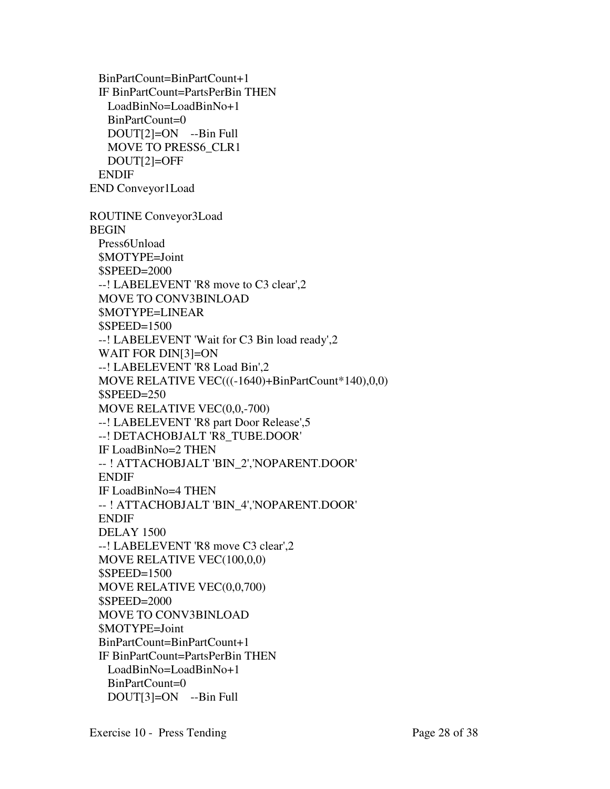BinPartCount=BinPartCount+1 IF BinPartCount=PartsPerBin THEN LoadBinNo=LoadBinNo+1 BinPartCount=0 DOUT[2]=ON --Bin Full MOVE TO PRESS6\_CLR1 DOUT[2]=OFF ENDIF END Conveyor1Load ROUTINE Conveyor3Load BEGIN Press6Unload \$MOTYPE=Joint \$SPEED=2000 --! LABELEVENT 'R8 move to C3 clear',2 MOVE TO CONV3BINLOAD \$MOTYPE=LINEAR \$SPEED=1500 --! LABELEVENT 'Wait for C3 Bin load ready',2 WAIT FOR DIN[3]=ON --! LABELEVENT 'R8 Load Bin',2 MOVE RELATIVE VEC(((-1640)+BinPartCount\*140),0,0) \$SPEED=250 MOVE RELATIVE VEC(0,0,-700) --! LABELEVENT 'R8 part Door Release',5 --! DETACHOBJALT 'R8\_TUBE.DOOR' IF LoadBinNo=2 THEN -- ! ATTACHOBJALT 'BIN\_2','NOPARENT.DOOR' ENDIF IF LoadBinNo=4 THEN -- ! ATTACHOBJALT 'BIN\_4','NOPARENT.DOOR' ENDIF DELAY 1500 --! LABELEVENT 'R8 move C3 clear',2 MOVE RELATIVE VEC(100,0,0) \$SPEED=1500 MOVE RELATIVE VEC(0,0,700) \$SPEED=2000 MOVE TO CONV3BINLOAD \$MOTYPE=Joint BinPartCount=BinPartCount+1 IF BinPartCount=PartsPerBin THEN LoadBinNo=LoadBinNo+1 BinPartCount=0 DOUT[3]=ON --Bin Full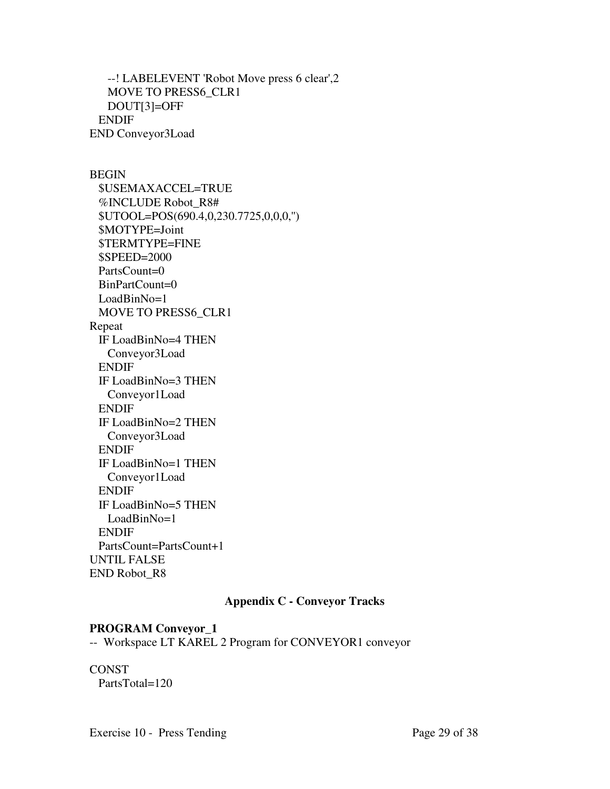--! LABELEVENT 'Robot Move press 6 clear',2 MOVE TO PRESS6\_CLR1 DOUT[3]=OFF ENDIF END Conveyor3Load

BEGIN

 \$USEMAXACCEL=TRUE %INCLUDE Robot\_R8# \$UTOOL=POS(690.4,0,230.7725,0,0,0,'') \$MOTYPE=Joint \$TERMTYPE=FINE \$SPEED=2000 PartsCount=0 BinPartCount=0 LoadBinNo=1 MOVE TO PRESS6\_CLR1 Repeat IF LoadBinNo=4 THEN Conveyor3Load ENDIF IF LoadBinNo=3 THEN Conveyor1Load ENDIF IF LoadBinNo=2 THEN Conveyor3Load ENDIF IF LoadBinNo=1 THEN Conveyor1Load ENDIF IF LoadBinNo=5 THEN LoadBinNo=1 ENDIF PartsCount=PartsCount+1 UNTIL FALSE END Robot\_R8

# **Appendix C - Conveyor Tracks**

#### **PROGRAM Conveyor\_1**

-- Workspace LT KAREL 2 Program for CONVEYOR1 conveyor

## **CONST** PartsTotal=120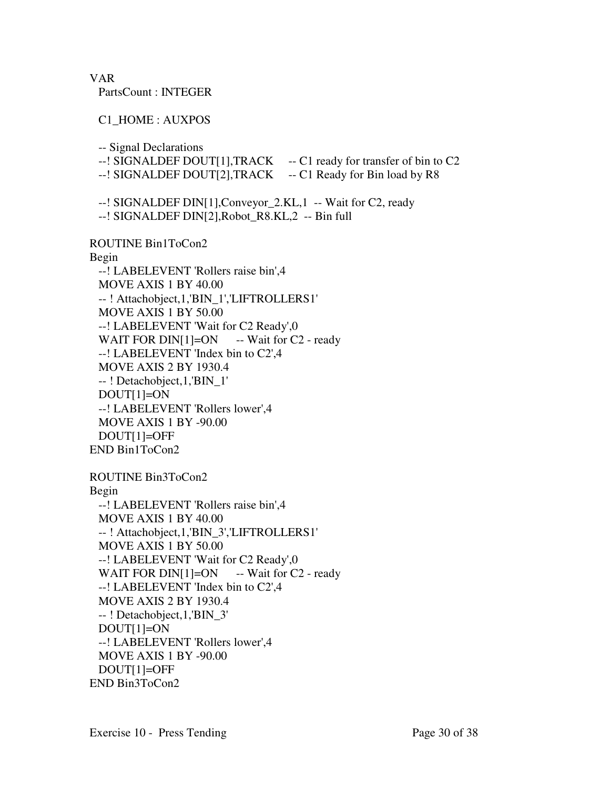VAR

PartsCount : INTEGER

C1\_HOME : AUXPOS

-- Signal Declarations

--! SIGNALDEF DOUT[1],TRACK -- C1 ready for transfer of bin to C2

--! SIGNALDEF DOUT[2], TRACK -- C1 Ready for Bin load by R8

--! SIGNALDEF DIN[1],Conveyor\_2.KL,1 -- Wait for C2, ready

--! SIGNALDEF DIN[2],Robot\_R8.KL,2 -- Bin full

ROUTINE Bin1ToCon2

Begin

 --! LABELEVENT 'Rollers raise bin',4 MOVE AXIS 1 BY 40.00 -- ! Attachobject,1,'BIN\_1','LIFTROLLERS1' MOVE AXIS 1 BY 50.00 --! LABELEVENT 'Wait for C2 Ready',0 WAIT FOR  $DIN[1] = ON$  -- Wait for C2 - ready --! LABELEVENT 'Index bin to C2',4 MOVE AXIS 2 BY 1930.4 -- ! Detachobject,1,'BIN\_1' DOUT[1]=ON --! LABELEVENT 'Rollers lower',4 MOVE AXIS 1 BY -90.00 DOUT[1]=OFF END Bin1ToCon2

ROUTINE Bin3ToCon2 Begin --! LABELEVENT 'Rollers raise bin',4 MOVE AXIS 1 BY 40.00 -- ! Attachobject,1,'BIN\_3','LIFTROLLERS1' MOVE AXIS 1 BY 50.00 --! LABELEVENT 'Wait for C2 Ready',0 WAIT FOR  $DIN[1] = ON$  -- Wait for C2 - ready --! LABELEVENT 'Index bin to C2',4 MOVE AXIS 2 BY 1930.4 -- ! Detachobject,1,'BIN\_3'  $DOUT[1]=ON$  --! LABELEVENT 'Rollers lower',4 MOVE AXIS 1 BY -90.00 DOUT[1]=OFF END Bin3ToCon2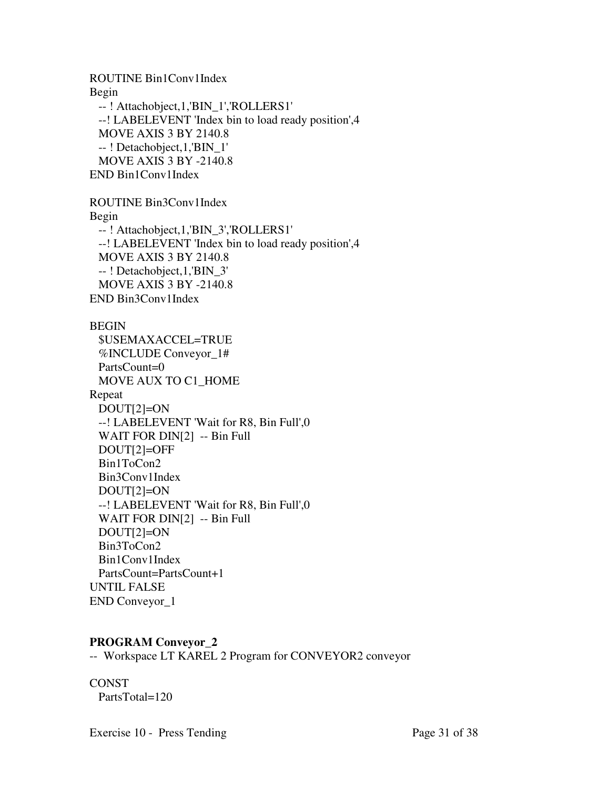ROUTINE Bin1Conv1Index Begin -- ! Attachobject,1,'BIN\_1','ROLLERS1' --! LABELEVENT 'Index bin to load ready position',4 MOVE AXIS 3 BY 2140.8 -- ! Detachobject,1,'BIN\_1' MOVE AXIS 3 BY -2140.8 END Bin1Conv1Index

ROUTINE Bin3Conv1Index Begin -- ! Attachobject,1,'BIN\_3','ROLLERS1' --! LABELEVENT 'Index bin to load ready position',4 MOVE AXIS 3 BY 2140.8 -- ! Detachobject,1,'BIN\_3' MOVE AXIS 3 BY -2140.8 END Bin3Conv1Index

# BEGIN \$USEMAXACCEL=TRUE %INCLUDE Conveyor\_1# PartsCount=0 MOVE AUX TO C1\_HOME Repeat DOUT[2]=ON --! LABELEVENT 'Wait for R8, Bin Full',0 WAIT FOR DIN[2] -- Bin Full DOUT[2]=OFF Bin1ToCon2 Bin3Conv1Index DOUT[2]=ON --! LABELEVENT 'Wait for R8, Bin Full',0 WAIT FOR DIN[2] -- Bin Full DOUT[2]=ON Bin3ToCon2 Bin1Conv1Index PartsCount=PartsCount+1 UNTIL FALSE END Conveyor\_1

#### **PROGRAM Conveyor\_2**

-- Workspace LT KAREL 2 Program for CONVEYOR2 conveyor

**CONST** PartsTotal=120

Exercise 10 - Press Tending Page 31 of 38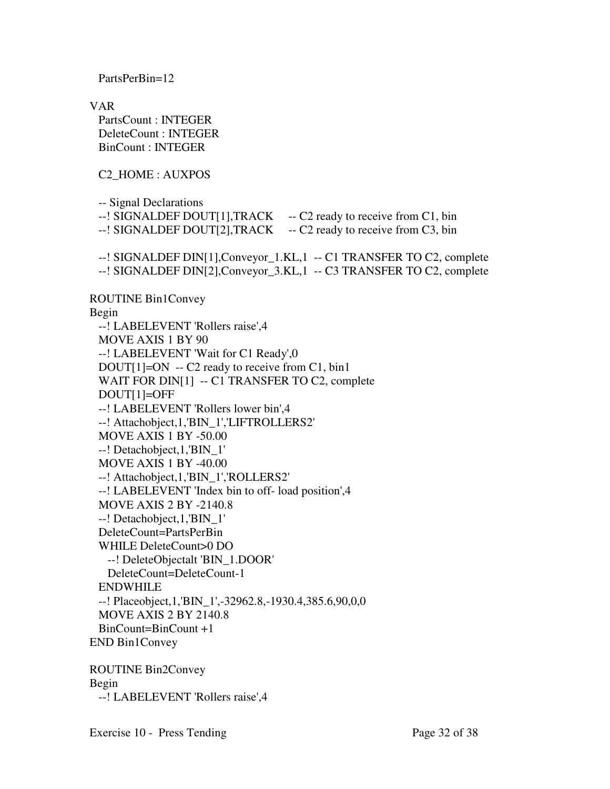PartsPerBin=12

VAR PartsCount : INTEGER DeleteCount : INTEGER BinCount : INTEGER

C2\_HOME : AUXPOS

-- Signal Declarations

- --! SIGNALDEF DOUT[1], TRACK -- C2 ready to receive from C1, bin
- --! SIGNALDEF DOUT[2], TRACK -- C2 ready to receive from C3, bin

 --! SIGNALDEF DIN[1],Conveyor\_1.KL,1 -- C1 TRANSFER TO C2, complete --! SIGNALDEF DIN[2],Conveyor\_3.KL,1 -- C3 TRANSFER TO C2, complete

ROUTINE Bin1Convey Begin --! LABELEVENT 'Rollers raise',4 MOVE AXIS 1 BY 90 --! LABELEVENT 'Wait for C1 Ready',0  $DOUT[1]=ON - C2$  ready to receive from C1, bin1 WAIT FOR DIN[1] -- C1 TRANSFER TO C2, complete DOUT[1]=OFF --! LABELEVENT 'Rollers lower bin',4 --! Attachobject,1,'BIN\_1','LIFTROLLERS2' MOVE AXIS 1 BY -50.00 --! Detachobject,1,'BIN\_1' MOVE AXIS 1 BY -40.00 --! Attachobject,1,'BIN\_1','ROLLERS2' --! LABELEVENT 'Index bin to off- load position',4 MOVE AXIS 2 BY -2140.8 --! Detachobject,1,'BIN\_1' DeleteCount=PartsPerBin WHILE DeleteCount>0 DO --! DeleteObjectalt 'BIN\_1.DOOR' DeleteCount=DeleteCount-1 ENDWHILE --! Placeobject,1,'BIN\_1',-32962.8,-1930.4,385.6,90,0,0 MOVE AXIS 2 BY 2140.8 BinCount=BinCount +1 END Bin1Convey

ROUTINE Bin2Convey Begin --! LABELEVENT 'Rollers raise',4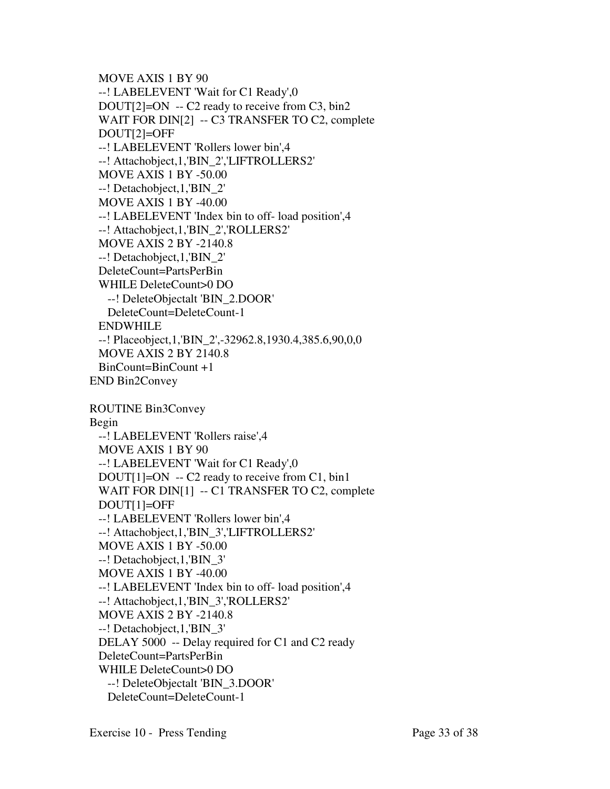```
 MOVE AXIS 1 BY 90 
  --! LABELEVENT 'Wait for C1 Ready',0 
 DOUT[2]=ON -- C2 ready to receive from C3, bin2
 WAIT FOR DIN[2] -- C3 TRANSFER TO C2, complete
  DOUT[2]=OFF 
  --! LABELEVENT 'Rollers lower bin',4 
  --! Attachobject,1,'BIN_2','LIFTROLLERS2' 
  MOVE AXIS 1 BY -50.00 
  --! Detachobject,1,'BIN_2' 
  MOVE AXIS 1 BY -40.00 
  --! LABELEVENT 'Index bin to off- load position',4 
  --! Attachobject,1,'BIN_2','ROLLERS2' 
  MOVE AXIS 2 BY -2140.8 
  --! Detachobject,1,'BIN_2' 
  DeleteCount=PartsPerBin 
  WHILE DeleteCount>0 DO 
    --! DeleteObjectalt 'BIN_2.DOOR' 
    DeleteCount=DeleteCount-1 
  ENDWHILE 
  --! Placeobject,1,'BIN_2',-32962.8,1930.4,385.6,90,0,0 
  MOVE AXIS 2 BY 2140.8 
  BinCount=BinCount +1 
END Bin2Convey 
ROUTINE Bin3Convey 
Begin 
  --! LABELEVENT 'Rollers raise',4 
  MOVE AXIS 1 BY 90 
  --! LABELEVENT 'Wait for C1 Ready',0
```

```
DOUT[1]=ON - C2 ready to receive from C1, bin1
WAIT FOR DIN[1] -- C1 TRANSFER TO C2, complete
 DOUT[1]=OFF 
 --! LABELEVENT 'Rollers lower bin',4 
 --! Attachobject,1,'BIN_3','LIFTROLLERS2' 
 MOVE AXIS 1 BY -50.00 
 --! Detachobject,1,'BIN_3' 
 MOVE AXIS 1 BY -40.00 
 --! LABELEVENT 'Index bin to off- load position',4 
 --! Attachobject,1,'BIN_3','ROLLERS2' 
 MOVE AXIS 2 BY -2140.8 
 --! Detachobject,1,'BIN_3' 
 DELAY 5000 -- Delay required for C1 and C2 ready 
 DeleteCount=PartsPerBin 
 WHILE DeleteCount>0 DO 
  --! DeleteObjectalt 'BIN_3.DOOR'
```
DeleteCount=DeleteCount-1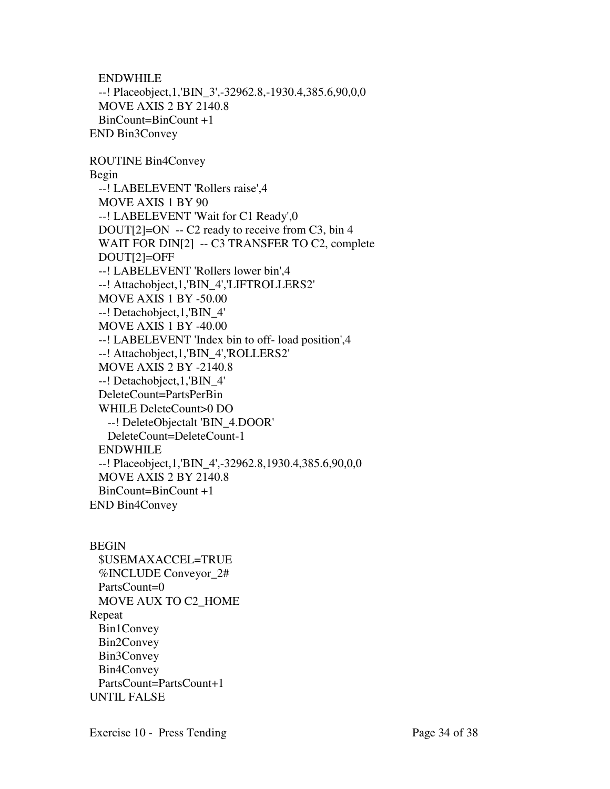ENDWHILE --! Placeobject,1,'BIN\_3',-32962.8,-1930.4,385.6,90,0,0 MOVE AXIS 2 BY 2140.8 BinCount=BinCount +1 END Bin3Convey

ROUTINE Bin4Convey Begin --! LABELEVENT 'Rollers raise',4 MOVE AXIS 1 BY 90 --! LABELEVENT 'Wait for C1 Ready',0 DOUT[2]=ON -- C2 ready to receive from C3, bin 4 WAIT FOR DIN[2] -- C3 TRANSFER TO C2, complete DOUT[2]=OFF --! LABELEVENT 'Rollers lower bin',4 --! Attachobject,1,'BIN\_4','LIFTROLLERS2' MOVE AXIS 1 BY -50.00 --! Detachobject,1,'BIN\_4' MOVE AXIS 1 BY -40.00 --! LABELEVENT 'Index bin to off- load position',4 --! Attachobject,1,'BIN\_4','ROLLERS2' MOVE AXIS 2 BY -2140.8 --! Detachobject,1,'BIN\_4' DeleteCount=PartsPerBin WHILE DeleteCount>0 DO --! DeleteObjectalt 'BIN\_4.DOOR' DeleteCount=DeleteCount-1 ENDWHILE --! Placeobject,1,'BIN\_4',-32962.8,1930.4,385.6,90,0,0 MOVE AXIS 2 BY 2140.8 BinCount=BinCount +1 END Bin4Convey

BEGIN \$USEMAXACCEL=TRUE %INCLUDE Conveyor\_2# PartsCount=0 MOVE AUX TO C2\_HOME Repeat Bin1Convey Bin2Convey Bin3Convey Bin4Convey PartsCount=PartsCount+1 UNTIL FALSE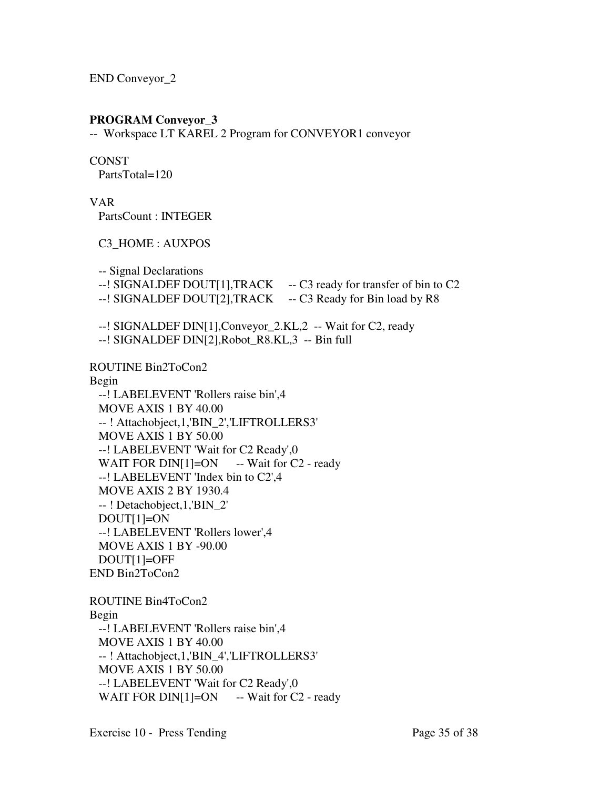END Conveyor\_2

# **PROGRAM Conveyor\_3**

-- Workspace LT KAREL 2 Program for CONVEYOR1 conveyor

# **CONST**

PartsTotal=120

VAR

PartsCount : INTEGER

C3\_HOME : AUXPOS

-- Signal Declarations

- --! SIGNALDEF DOUT[1],TRACK -- C3 ready for transfer of bin to C2
- --! SIGNALDEF DOUT[2],TRACK -- C3 Ready for Bin load by R8

--! SIGNALDEF DIN[1],Conveyor\_2.KL,2 -- Wait for C2, ready

--! SIGNALDEF DIN[2],Robot\_R8.KL,3 -- Bin full

ROUTINE Bin2ToCon2

Begin

 --! LABELEVENT 'Rollers raise bin',4 MOVE AXIS 1 BY 40.00 -- ! Attachobject,1,'BIN\_2','LIFTROLLERS3' MOVE AXIS 1 BY 50.00 --! LABELEVENT 'Wait for C2 Ready',0 WAIT FOR DIN $[1] = ON$  -- Wait for C2 - ready --! LABELEVENT 'Index bin to C2',4 MOVE AXIS 2 BY 1930.4 -- ! Detachobject,1,'BIN\_2' DOUT[1]=ON --! LABELEVENT 'Rollers lower',4 MOVE AXIS 1 BY -90.00 DOUT[1]=OFF END Bin2ToCon2

ROUTINE Bin4ToCon2 Begin --! LABELEVENT 'Rollers raise bin',4 MOVE AXIS 1 BY 40.00 -- ! Attachobject,1,'BIN\_4','LIFTROLLERS3' MOVE AXIS 1 BY 50.00 --! LABELEVENT 'Wait for C2 Ready',0 WAIT FOR DIN $[1] = ON$  -- Wait for C2 - ready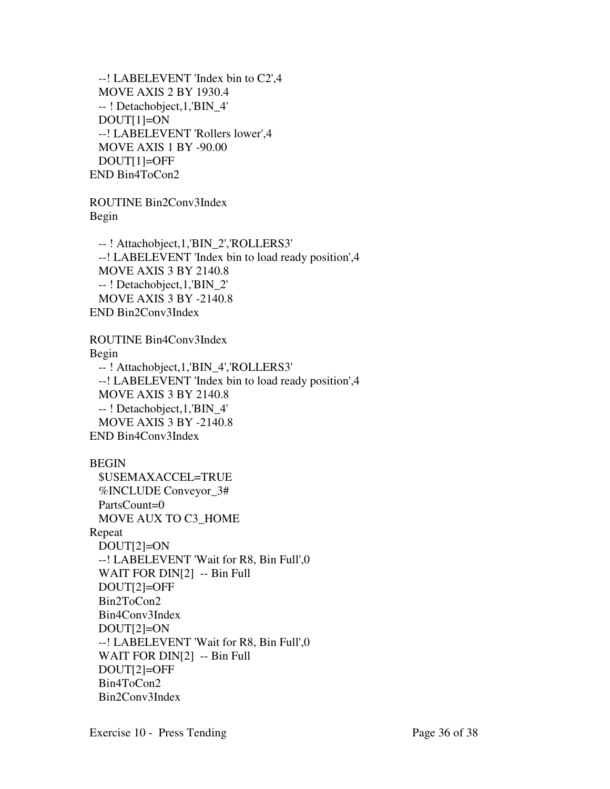--! LABELEVENT 'Index bin to C2',4 MOVE AXIS 2 BY 1930.4 -- ! Detachobject,1,'BIN\_4' DOUT[1]=ON --! LABELEVENT 'Rollers lower',4 MOVE AXIS 1 BY -90.00 DOUT[1]=OFF END Bin4ToCon2

ROUTINE Bin2Conv3Index Begin

 -- ! Attachobject,1,'BIN\_2','ROLLERS3' --! LABELEVENT 'Index bin to load ready position',4 MOVE AXIS 3 BY 2140.8 -- ! Detachobject,1,'BIN\_2' MOVE AXIS 3 BY -2140.8 END Bin2Conv3Index

ROUTINE Bin4Conv3Index Begin -- ! Attachobject,1,'BIN\_4','ROLLERS3' --! LABELEVENT 'Index bin to load ready position',4 MOVE AXIS 3 BY 2140.8 -- ! Detachobject,1,'BIN\_4' MOVE AXIS 3 BY -2140.8 END Bin4Conv3Index

# BEGIN

 \$USEMAXACCEL=TRUE %INCLUDE Conveyor\_3# PartsCount=0 MOVE AUX TO C3\_HOME Repeat DOUT[2]=ON --! LABELEVENT 'Wait for R8, Bin Full',0 WAIT FOR DIN[2] -- Bin Full DOUT[2]=OFF Bin2ToCon2 Bin4Conv3Index DOUT[2]=ON --! LABELEVENT 'Wait for R8, Bin Full',0 WAIT FOR DIN[2] -- Bin Full DOUT[2]=OFF Bin4ToCon2 Bin2Conv3Index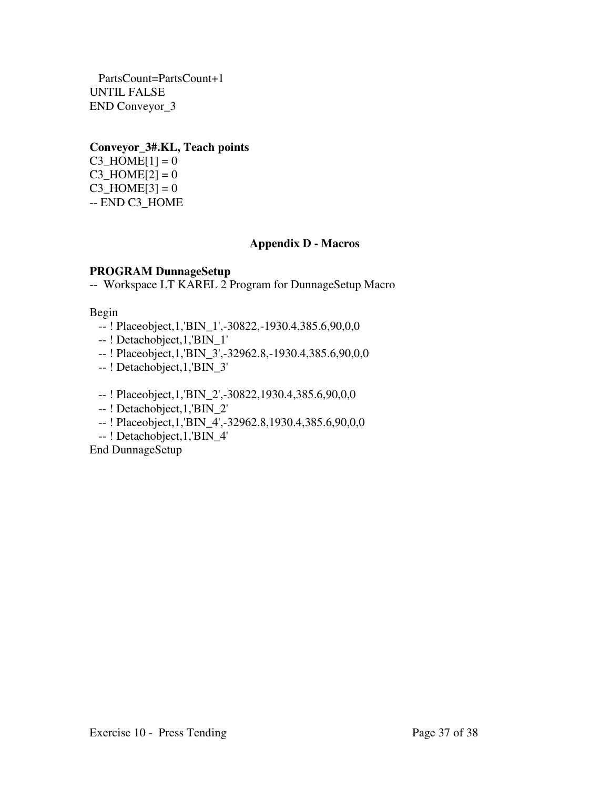PartsCount=PartsCount+1 UNTIL FALSE END Conveyor\_3

# **Conveyor\_3#.KL, Teach points**

 $C3$ \_HOME[1] = 0  $C3$ \_HOME $[2] = 0$  $C3$ \_HOME[3] = 0 -- END C3\_HOME

# **Appendix D - Macros**

# **PROGRAM DunnageSetup**

-- Workspace LT KAREL 2 Program for DunnageSetup Macro

# Begin

- -- ! Placeobject,1,'BIN\_1',-30822,-1930.4,385.6,90,0,0
- -- ! Detachobject,1,'BIN\_1'
- -- ! Placeobject,1,'BIN\_3',-32962.8,-1930.4,385.6,90,0,0
- -- ! Detachobject,1,'BIN\_3'
- -- ! Placeobject,1,'BIN\_2',-30822,1930.4,385.6,90,0,0
- -- ! Detachobject,1,'BIN\_2'
- -- ! Placeobject,1,'BIN\_4',-32962.8,1930.4,385.6,90,0,0
- -- ! Detachobject,1,'BIN\_4'

End DunnageSetup